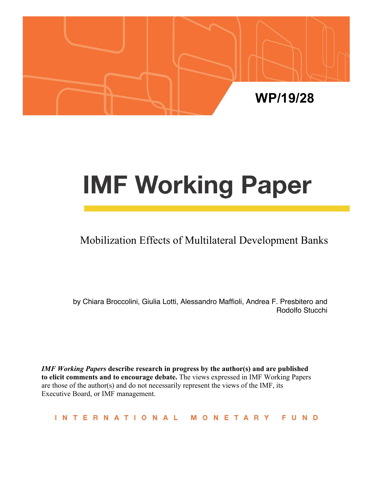

# **IMF Working Paper**

# Mobilization Effects of Multilateral Development Banks

by Chiara Broccolini, Giulia Lotti, Alessandro Maffioli, Andrea F. Presbitero and Rodolfo Stucchi

*IMF Working Papers* **describe research in progress by the author(s) and are published to elicit comments and to encourage debate.** The views expressed in IMF Working Papers are those of the author(s) and do not necessarily represent the views of the IMF, its Executive Board, or IMF management.

INTERNATIONAL MONETARY **FUND**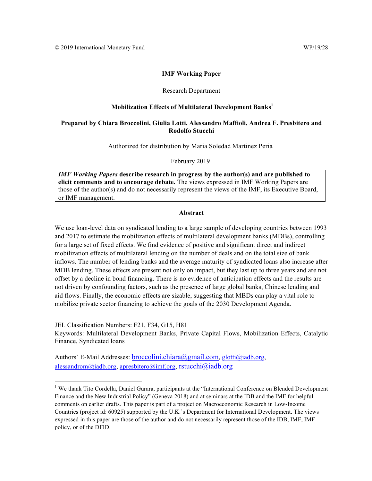#### **IMF Working Paper**

#### Research Department

#### **Mobilization Effects of Multilateral Development Banks<sup>1</sup>**

#### **Prepared by Chiara Broccolini, Giulia Lotti, Alessandro Maffioli, Andrea F. Presbitero and Rodolfo Stucchi**

Authorized for distribution by Maria Soledad Martinez Peria

February 2019

*IMF Working Papers* **describe research in progress by the author(s) and are published to elicit comments and to encourage debate.** The views expressed in IMF Working Papers are those of the author(s) and do not necessarily represent the views of the IMF, its Executive Board, or IMF management.

#### **Abstract**

We use loan-level data on syndicated lending to a large sample of developing countries between 1993 and 2017 to estimate the mobilization effects of multilateral development banks (MDBs), controlling for a large set of fixed effects. We find evidence of positive and significant direct and indirect mobilization effects of multilateral lending on the number of deals and on the total size of bank inflows. The number of lending banks and the average maturity of syndicated loans also increase after MDB lending. These effects are present not only on impact, but they last up to three years and are not offset by a decline in bond financing. There is no evidence of anticipation effects and the results are not driven by confounding factors, such as the presence of large global banks, Chinese lending and aid flows. Finally, the economic effects are sizable, suggesting that MBDs can play a vital role to mobilize private sector financing to achieve the goals of the 2030 Development Agenda.

JEL Classification Numbers: F21, F34, G15, H81 Keywords: Multilateral Development Banks, Private Capital Flows, Mobilization Effects, Catalytic Finance, Syndicated loans

Authors' E-Mail Addresses: broccolini.chiara@gmail.com, glotti@iadb.org, alessandrom@iadb.org, apresbitero@imf.org, rstucchi@iadb.org

<sup>&</sup>lt;sup>1</sup> We thank Tito Cordella, Daniel Gurara, participants at the "International Conference on Blended Development Finance and the New Industrial Policy" (Geneva 2018) and at seminars at the IDB and the IMF for helpful comments on earlier drafts. This paper is part of a project on Macroeconomic Research in Low-Income Countries (project id: 60925) supported by the U.K.'s Department for International Development. The views expressed in this paper are those of the author and do not necessarily represent those of the IDB, IMF, IMF policy, or of the DFID.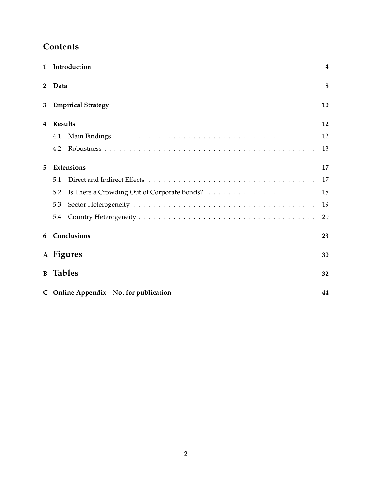# **Contents**

| $\mathbf{1}$ |                 | Introduction                          | 4  |
|--------------|-----------------|---------------------------------------|----|
| $\mathbf{2}$ | Data            |                                       | 8  |
| 3            |                 | <b>Empirical Strategy</b>             | 10 |
| 4            | <b>Results</b>  |                                       | 12 |
|              | 4.1             |                                       | 12 |
|              | 4.2             |                                       | 13 |
| 5            |                 | <b>Extensions</b>                     | 17 |
|              | 5.1             |                                       | 17 |
|              | 5.2             |                                       | 18 |
|              | 5.3             |                                       | 19 |
|              | 5.4             |                                       | 20 |
| 6            |                 | Conclusions                           | 23 |
|              |                 | A Figures                             | 30 |
|              | <b>B</b> Tables |                                       | 32 |
|              |                 | C Online Appendix—Not for publication | 44 |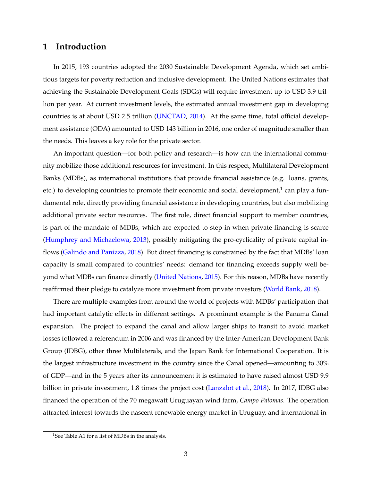## <span id="page-3-0"></span>**1 Introduction**

In 2015, 193 countries adopted the 2030 Sustainable Development Agenda, which set ambitious targets for poverty reduction and inclusive development. The United Nations estimates that achieving the Sustainable Development Goals (SDGs) will require investment up to USD 3.9 trillion per year. At current investment levels, the estimated annual investment gap in developing countries is at about USD 2.5 trillion [\(UNCTAD,](#page-27-0) [2014\)](#page-27-0). At the same time, total official development assistance (ODA) amounted to USD 143 billion in 2016, one order of magnitude smaller than the needs. This leaves a key role for the private sector.

An important question—for both policy and research—is how can the international community mobilize those additional resources for investment. In this respect, Multilateral Development Banks (MDBs), as international institutions that provide financial assistance (e.g. loans, grants, etc.) to developing countries to promote their economic and social development,<sup>[1](#page--1-0)</sup> can play a fundamental role, directly providing financial assistance in developing countries, but also mobilizing additional private sector resources. The first role, direct financial support to member countries, is part of the mandate of MDBs, which are expected to step in when private financing is scarce [\(Humphrey and Michaelowa,](#page-26-0) [2013\)](#page-26-0), possibly mitigating the pro-cyclicality of private capital inflows [\(Galindo and Panizza,](#page-25-0) [2018\)](#page-25-0). But direct financing is constrained by the fact that MDBs' loan capacity is small compared to countries' needs: demand for financing exceeds supply well be-yond what MDBs can finance directly [\(United Nations,](#page-27-1) [2015\)](#page-27-1). For this reason, MDBs have recently reaffirmed their pledge to catalyze more investment from private investors [\(World Bank,](#page-28-0) [2018\)](#page-28-0).

There are multiple examples from around the world of projects with MDBs' participation that had important catalytic effects in different settings. A prominent example is the Panama Canal expansion. The project to expand the canal and allow larger ships to transit to avoid market losses followed a referendum in 2006 and was financed by the Inter-American Development Bank Group (IDBG), other three Multilaterals, and the Japan Bank for International Cooperation. It is the largest infrastructure investment in the country since the Canal opened—amounting to 30% of GDP—and in the 5 years after its announcement it is estimated to have raised almost USD 9.9 billion in private investment, 1.8 times the project cost [\(Lanzalot et al.,](#page-26-1) [2018\)](#page-26-1). In 2017, IDBG also financed the operation of the 70 megawatt Uruguayan wind farm, *Campo Palomas*. The operation attracted interest towards the nascent renewable energy market in Uruguay, and international in-

<sup>&</sup>lt;sup>1</sup>See Table [A1](#page-43-1) for a list of MDBs in the analysis.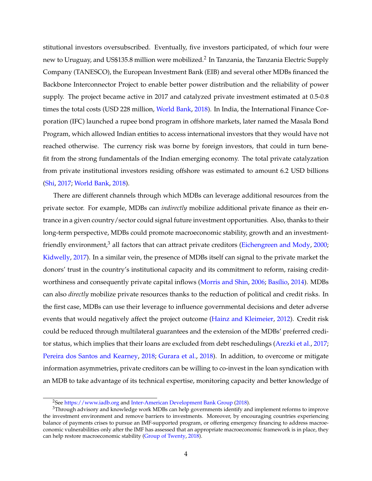stitutional investors oversubscribed. Eventually, five investors participated, of which four were new to Uruguay, and US\$135.8 million were mobilized. $^2$  $^2$  In Tanzania, the Tanzania Electric Supply Company (TANESCO), the European Investment Bank (EIB) and several other MDBs financed the Backbone Interconnector Project to enable better power distribution and the reliability of power supply. The project became active in 2017 and catalyzed private investment estimated at 0.5-0.8 times the total costs (USD 228 million, [World Bank,](#page-28-0) [2018\)](#page-28-0). In India, the International Finance Corporation (IFC) launched a rupee bond program in offshore markets, later named the Masala Bond Program, which allowed Indian entities to access international investors that they would have not reached otherwise. The currency risk was borne by foreign investors, that could in turn benefit from the strong fundamentals of the Indian emerging economy. The total private catalyzation from private institutional investors residing offshore was estimated to amount 6.2 USD billions [\(Shi,](#page-27-2) [2017;](#page-27-2) [World Bank,](#page-28-0) [2018\)](#page-28-0).

There are different channels through which MDBs can leverage additional resources from the private sector. For example, MDBs can *indirectly* mobilize additional private finance as their entrance in a given country/sector could signal future investment opportunities. Also, thanks to their long-term perspective, MDBs could promote macroeconomic stability, growth and an investment-friendly environment,<sup>[3](#page--1-0)</sup> all factors that can attract private creditors [\(Eichengreen and Mody,](#page-25-1) [2000;](#page-25-1) [Kidwelly,](#page-26-2) [2017\)](#page-26-2). In a similar vein, the presence of MDBs itself can signal to the private market the donors' trust in the country's institutional capacity and its commitment to reform, raising credit-worthiness and consequently private capital inflows [\(Morris and Shin,](#page-27-3) [2006;](#page-27-3) Basílio, [2014\)](#page-24-0). MDBs can also *directly* mobilize private resources thanks to the reduction of political and credit risks. In the first case, MDBs can use their leverage to influence governmental decisions and deter adverse events that would negatively affect the project outcome [\(Hainz and Kleimeier,](#page-26-3) [2012\)](#page-26-3). Credit risk could be reduced through multilateral guarantees and the extension of the MDBs' preferred creditor status, which implies that their loans are excluded from debt reschedulings [\(Arezki et al.,](#page-24-1) [2017;](#page-24-1) [Pereira dos Santos and Kearney,](#page-27-4) [2018;](#page-27-4) [Gurara et al.,](#page-26-4) [2018\)](#page-26-4). In addition, to overcome or mitigate information asymmetries, private creditors can be willing to co-invest in the loan syndication with an MDB to take advantage of its technical expertise, monitoring capacity and better knowledge of

<sup>&</sup>lt;sup>2</sup>See [https://www.iadb.org](https://www.iadb.org/en/news/news-releases/2017-08-03/iic-closes-b-bond-in-campo-palomas%2C11856.html) and [Inter-American Development Bank Group](#page-26-5) [\(2018\)](#page-26-5).

<sup>&</sup>lt;sup>3</sup>Through advisory and knowledge work MDBs can help governments identify and implement reforms to improve the investment environment and remove barriers to investments. Moreover, by encouraging countries experiencing balance of payments crises to pursue an IMF-supported program, or offering emergency financing to address macroeconomic vulnerabilities only after the IMF has assessed that an appropriate macroeconomic framework is in place, they can help restore macroeconomic stability [\(Group of Twenty,](#page-26-6) [2018\)](#page-26-6).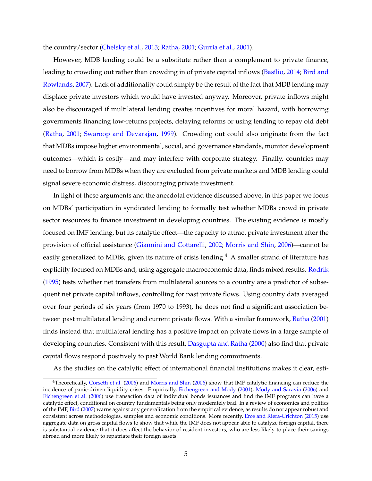the country/sector [\(Chelsky et al.,](#page-24-2) [2013;](#page-24-2) [Ratha,](#page-27-5) [2001;](#page-27-5) Gurría et al., [2001\)](#page-26-7).

However, MDB lending could be a substitute rather than a complement to private finance, leading to crowding out rather than crowding in of private capital inflows (Basílio, [2014;](#page-24-0) [Bird and](#page-24-3) [Rowlands,](#page-24-3) [2007\)](#page-24-3). Lack of additionality could simply be the result of the fact that MDB lending may displace private investors which would have invested anyway. Moreover, private inflows might also be discouraged if multilateral lending creates incentives for moral hazard, with borrowing governments financing low-returns projects, delaying reforms or using lending to repay old debt [\(Ratha,](#page-27-5) [2001;](#page-27-5) [Swaroop and Devarajan,](#page-27-6) [1999\)](#page-27-6). Crowding out could also originate from the fact that MDBs impose higher environmental, social, and governance standards, monitor development outcomes—which is costly—and may interfere with corporate strategy. Finally, countries may need to borrow from MDBs when they are excluded from private markets and MDB lending could signal severe economic distress, discouraging private investment.

In light of these arguments and the anecdotal evidence discussed above, in this paper we focus on MDBs' participation in syndicated lending to formally test whether MDBs crowd in private sector resources to finance investment in developing countries. The existing evidence is mostly focused on IMF lending, but its catalytic effect—the capacity to attract private investment after the provision of official assistance [\(Giannini and Cottarelli,](#page-26-8) [2002;](#page-26-8) [Morris and Shin,](#page-27-3) [2006\)](#page-27-3)—cannot be easily generalized to MDBs, given its nature of crisis lending.<sup>[4](#page--1-0)</sup> A smaller strand of literature has explicitly focused on MDBs and, using aggregate macroeconomic data, finds mixed results. [Rodrik](#page-27-7) [\(1995\)](#page-27-7) tests whether net transfers from multilateral sources to a country are a predictor of subsequent net private capital inflows, controlling for past private flows. Using country data averaged over four periods of six years (from 1970 to 1993), he does not find a significant association between past multilateral lending and current private flows. With a similar framework, [Ratha](#page-27-5) [\(2001\)](#page-27-5) finds instead that multilateral lending has a positive impact on private flows in a large sample of developing countries. Consistent with this result, [Dasgupta and Ratha](#page-25-2) [\(2000\)](#page-25-2) also find that private capital flows respond positively to past World Bank lending commitments.

As the studies on the catalytic effect of international financial institutions makes it clear, esti-

<sup>4</sup>Theoretically, [Corsetti et al.](#page-25-3) [\(2006\)](#page-25-3) and [Morris and Shin](#page-27-3) [\(2006\)](#page-27-3) show that IMF catalytic financing can reduce the incidence of panic-driven liquidity crises. Empirically, [Eichengreen and Mody](#page-25-4) [\(2001\)](#page-25-4), [Mody and Saravia](#page-27-8) [\(2006\)](#page-27-8) and [Eichengreen et al.](#page-25-5) [\(2006\)](#page-25-5) use transaction data of individual bonds issuances and find the IMF programs can have a catalytic effect, conditional on country fundamentals being only moderately bad. In a review of economics and politics of the IMF, [Bird](#page-24-4) [\(2007\)](#page-24-4) warns against any generalization from the empirical evidence, as results do not appear robust and consistent across methodologies, samples and economic conditions. More recently, [Erce and Riera-Crichton](#page-25-6) [\(2015\)](#page-25-6) use aggregate data on gross capital flows to show that while the IMF does not appear able to catalyze foreign capital, there is substantial evidence that it does affect the behavior of resident investors, who are less likely to place their savings abroad and more likely to repatriate their foreign assets.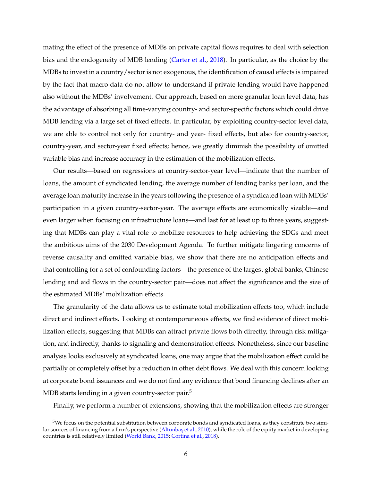mating the effect of the presence of MDBs on private capital flows requires to deal with selection bias and the endogeneity of MDB lending [\(Carter et al.,](#page-24-5) [2018\)](#page-24-5). In particular, as the choice by the MDBs to invest in a country/sector is not exogenous, the identification of causal effects is impaired by the fact that macro data do not allow to understand if private lending would have happened also without the MDBs' involvement. Our approach, based on more granular loan level data, has the advantage of absorbing all time-varying country- and sector-specific factors which could drive MDB lending via a large set of fixed effects. In particular, by exploiting country-sector level data, we are able to control not only for country- and year- fixed effects, but also for country-sector, country-year, and sector-year fixed effects; hence, we greatly diminish the possibility of omitted variable bias and increase accuracy in the estimation of the mobilization effects.

Our results—based on regressions at country-sector-year level—indicate that the number of loans, the amount of syndicated lending, the average number of lending banks per loan, and the average loan maturity increase in the years following the presence of a syndicated loan with MDBs' participation in a given country-sector-year. The average effects are economically sizable—and even larger when focusing on infrastructure loans—and last for at least up to three years, suggesting that MDBs can play a vital role to mobilize resources to help achieving the SDGs and meet the ambitious aims of the 2030 Development Agenda. To further mitigate lingering concerns of reverse causality and omitted variable bias, we show that there are no anticipation effects and that controlling for a set of confounding factors—the presence of the largest global banks, Chinese lending and aid flows in the country-sector pair—does not affect the significance and the size of the estimated MDBs' mobilization effects.

The granularity of the data allows us to estimate total mobilization effects too, which include direct and indirect effects. Looking at contemporaneous effects, we find evidence of direct mobilization effects, suggesting that MDBs can attract private flows both directly, through risk mitigation, and indirectly, thanks to signaling and demonstration effects. Nonetheless, since our baseline analysis looks exclusively at syndicated loans, one may argue that the mobilization effect could be partially or completely offset by a reduction in other debt flows. We deal with this concern looking at corporate bond issuances and we do not find any evidence that bond financing declines after an MDB starts lending in a given country-sector pair.<sup>[5](#page--1-0)</sup>

Finally, we perform a number of extensions, showing that the mobilization effects are stronger

 $5$ We focus on the potential substitution between corporate bonds and syndicated loans, as they constitute two simi-lar sources of financing from a firm's perspective (Altunbaş et al., [2010\)](#page-24-6), while the role of the equity market in developing countries is still relatively limited [\(World Bank,](#page-28-1) [2015;](#page-28-1) [Cortina et al.,](#page-25-7) [2018\)](#page-25-7).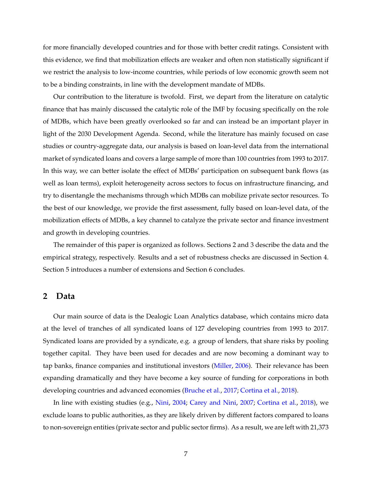for more financially developed countries and for those with better credit ratings. Consistent with this evidence, we find that mobilization effects are weaker and often non statistically significant if we restrict the analysis to low-income countries, while periods of low economic growth seem not to be a binding constraints, in line with the development mandate of MDBs.

Our contribution to the literature is twofold. First, we depart from the literature on catalytic finance that has mainly discussed the catalytic role of the IMF by focusing specifically on the role of MDBs, which have been greatly overlooked so far and can instead be an important player in light of the 2030 Development Agenda. Second, while the literature has mainly focused on case studies or country-aggregate data, our analysis is based on loan-level data from the international market of syndicated loans and covers a large sample of more than 100 countries from 1993 to 2017. In this way, we can better isolate the effect of MDBs' participation on subsequent bank flows (as well as loan terms), exploit heterogeneity across sectors to focus on infrastructure financing, and try to disentangle the mechanisms through which MDBs can mobilize private sector resources. To the best of our knowledge, we provide the first assessment, fully based on loan-level data, of the mobilization effects of MDBs, a key channel to catalyze the private sector and finance investment and growth in developing countries.

The remainder of this paper is organized as follows. Sections [2](#page-7-0) and [3](#page-9-0) describe the data and the empirical strategy, respectively. Results and a set of robustness checks are discussed in Section [4.](#page-11-0) Section [5](#page-16-0) introduces a number of extensions and Section [6](#page-22-0) concludes.

#### <span id="page-7-0"></span>**2 Data**

Our main source of data is the Dealogic Loan Analytics database, which contains micro data at the level of tranches of all syndicated loans of 127 developing countries from 1993 to 2017. Syndicated loans are provided by a syndicate, e.g. a group of lenders, that share risks by pooling together capital. They have been used for decades and are now becoming a dominant way to tap banks, finance companies and institutional investors [\(Miller,](#page-26-9) [2006\)](#page-26-9). Their relevance has been expanding dramatically and they have become a key source of funding for corporations in both developing countries and advanced economies [\(Bruche et al.,](#page-24-7) [2017;](#page-24-7) [Cortina et al.,](#page-25-7) [2018\)](#page-25-7).

In line with existing studies (e.g., [Nini,](#page-27-9) [2004;](#page-27-9) [Carey and Nini,](#page-24-8) [2007;](#page-24-8) [Cortina et al.,](#page-25-7) [2018\)](#page-25-7), we exclude loans to public authorities, as they are likely driven by different factors compared to loans to non-sovereign entities (private sector and public sector firms). As a result, we are left with 21,373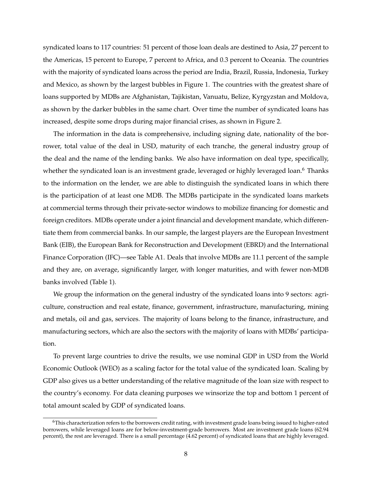syndicated loans to 117 countries: 51 percent of those loan deals are destined to Asia, 27 percent to the Americas, 15 percent to Europe, 7 percent to Africa, and 0.3 percent to Oceania. The countries with the majority of syndicated loans across the period are India, Brazil, Russia, Indonesia, Turkey and Mexico, as shown by the largest bubbles in Figure [1.](#page-29-1) The countries with the greatest share of loans supported by MDBs are Afghanistan, Tajikistan, Vanuatu, Belize, Kyrgyzstan and Moldova, as shown by the darker bubbles in the same chart. Over time the number of syndicated loans has increased, despite some drops during major financial crises, as shown in Figure [2.](#page-30-0)

The information in the data is comprehensive, including signing date, nationality of the borrower, total value of the deal in USD, maturity of each tranche, the general industry group of the deal and the name of the lending banks. We also have information on deal type, specifically, whether the syndicated loan is an investment grade, leveraged or highly leveraged loan.<sup>[6](#page--1-0)</sup> Thanks to the information on the lender, we are able to distinguish the syndicated loans in which there is the participation of at least one MDB. The MDBs participate in the syndicated loans markets at commercial terms through their private-sector windows to mobilize financing for domestic and foreign creditors. MDBs operate under a joint financial and development mandate, which differentiate them from commercial banks. In our sample, the largest players are the European Investment Bank (EIB), the European Bank for Reconstruction and Development (EBRD) and the International Finance Corporation (IFC)—see Table [A1.](#page-43-1) Deals that involve MDBs are 11.1 percent of the sample and they are, on average, significantly larger, with longer maturities, and with fewer non-MDB banks involved (Table [1\)](#page-31-1).

We group the information on the general industry of the syndicated loans into 9 sectors: agriculture, construction and real estate, finance, government, infrastructure, manufacturing, mining and metals, oil and gas, services. The majority of loans belong to the finance, infrastructure, and manufacturing sectors, which are also the sectors with the majority of loans with MDBs' participation.

To prevent large countries to drive the results, we use nominal GDP in USD from the World Economic Outlook (WEO) as a scaling factor for the total value of the syndicated loan. Scaling by GDP also gives us a better understanding of the relative magnitude of the loan size with respect to the country's economy. For data cleaning purposes we winsorize the top and bottom 1 percent of total amount scaled by GDP of syndicated loans.

 $6$ This characterization refers to the borrowers credit rating, with investment grade loans being issued to higher-rated borrowers, while leveraged loans are for below-investment-grade borrowers. Most are investment grade loans (62.94 percent), the rest are leveraged. There is a small percentage (4.62 percent) of syndicated loans that are highly leveraged.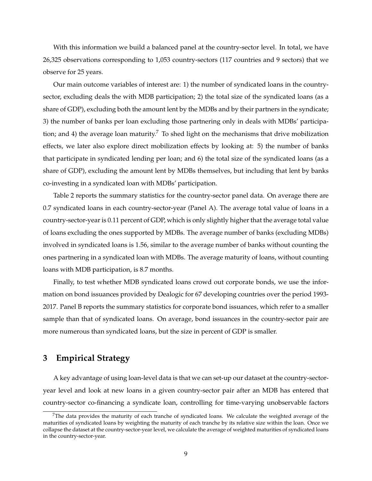With this information we build a balanced panel at the country-sector level. In total, we have 26,325 observations corresponding to 1,053 country-sectors (117 countries and 9 sectors) that we observe for 25 years.

Our main outcome variables of interest are: 1) the number of syndicated loans in the countrysector, excluding deals the with MDB participation; 2) the total size of the syndicated loans (as a share of GDP), excluding both the amount lent by the MDBs and by their partners in the syndicate; 3) the number of banks per loan excluding those partnering only in deals with MDBs' participa-tion; and 4) the average loan maturity.<sup>[7](#page--1-0)</sup> To shed light on the mechanisms that drive mobilization effects, we later also explore direct mobilization effects by looking at: 5) the number of banks that participate in syndicated lending per loan; and 6) the total size of the syndicated loans (as a share of GDP), excluding the amount lent by MDBs themselves, but including that lent by banks co-investing in a syndicated loan with MDBs' participation.

Table [2](#page-31-2) reports the summary statistics for the country-sector panel data. On average there are 0.7 syndicated loans in each country-sector-year (Panel A). The average total value of loans in a country-sector-year is 0.11 percent of GDP, which is only slightly higher that the average total value of loans excluding the ones supported by MDBs. The average number of banks (excluding MDBs) involved in syndicated loans is 1.56, similar to the average number of banks without counting the ones partnering in a syndicated loan with MDBs. The average maturity of loans, without counting loans with MDB participation, is 8.7 months.

Finally, to test whether MDB syndicated loans crowd out corporate bonds, we use the information on bond issuances provided by Dealogic for 67 developing countries over the period 1993- 2017. Panel B reports the summary statistics for corporate bond issuances, which refer to a smaller sample than that of syndicated loans. On average, bond issuances in the country-sector pair are more numerous than syndicated loans, but the size in percent of GDP is smaller.

## <span id="page-9-0"></span>**3 Empirical Strategy**

A key advantage of using loan-level data is that we can set-up our dataset at the country-sectoryear level and look at new loans in a given country-sector pair after an MDB has entered that country-sector co-financing a syndicate loan, controlling for time-varying unobservable factors

 $7$ The data provides the maturity of each tranche of syndicated loans. We calculate the weighted average of the maturities of syndicated loans by weighting the maturity of each tranche by its relative size within the loan. Once we collapse the dataset at the country-sector-year level, we calculate the average of weighted maturities of syndicated loans in the country-sector-year.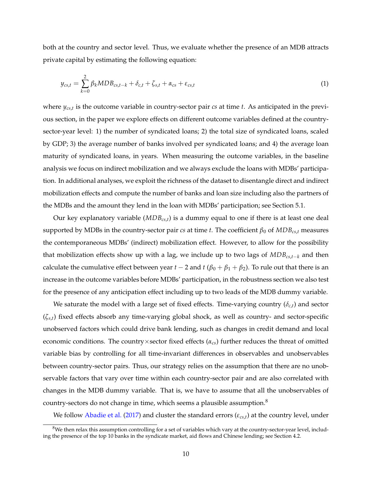both at the country and sector level. Thus, we evaluate whether the presence of an MDB attracts private capital by estimating the following equation:

<span id="page-10-0"></span>
$$
y_{cs,t} = \sum_{k=0}^{2} \beta_k MDB_{cs,t-k} + \delta_{c,t} + \zeta_{s,t} + \alpha_{cs} + \varepsilon_{cs,t}
$$
(1)

where *ycs*,*<sup>t</sup>* is the outcome variable in country-sector pair *cs* at time *t*. As anticipated in the previous section, in the paper we explore effects on different outcome variables defined at the countrysector-year level: 1) the number of syndicated loans; 2) the total size of syndicated loans, scaled by GDP; 3) the average number of banks involved per syndicated loans; and 4) the average loan maturity of syndicated loans, in years. When measuring the outcome variables, in the baseline analysis we focus on indirect mobilization and we always exclude the loans with MDBs' participation. In additional analyses, we exploit the richness of the dataset to disentangle direct and indirect mobilization effects and compute the number of banks and loan size including also the partners of the MDBs and the amount they lend in the loan with MDBs' participation; see Section [5.1.](#page-16-1)

Our key explanatory variable (*MDBcs*,*t*) is a dummy equal to one if there is at least one deal supported by MDBs in the country-sector pair *cs* at time *t*. The coefficient  $\beta_0$  of  $MDB_{cs,t}$  measures the contemporaneous MDBs' (indirect) mobilization effect. However, to allow for the possibility that mobilization effects show up with a lag, we include up to two lags of *MDBcs*,*t*−*<sup>k</sup>* and then calculate the cumulative effect between year  $t - 2$  and  $t (\beta_0 + \beta_1 + \beta_2)$ . To rule out that there is an increase in the outcome variables before MDBs' participation, in the robustness section we also test for the presence of any anticipation effect including up to two leads of the MDB dummy variable.

We saturate the model with a large set of fixed effects. Time-varying country (*δc*,*t*) and sector (*ζs*,*t*) fixed effects absorb any time-varying global shock, as well as country- and sector-specific unobserved factors which could drive bank lending, such as changes in credit demand and local economic conditions. The country×sector fixed effects (*αcs*) further reduces the threat of omitted variable bias by controlling for all time-invariant differences in observables and unobservables between country-sector pairs. Thus, our strategy relies on the assumption that there are no unobservable factors that vary over time within each country-sector pair and are also correlated with changes in the MDB dummy variable. That is, we have to assume that all the unobservables of country-sectors do not change in time, which seems a plausible assumption. $8$ 

We follow [Abadie et al.](#page-24-9) [\(2017\)](#page-24-9) and cluster the standard errors (*εcs*,*t*) at the country level, under

 $8$ We then relax this assumption controlling for a set of variables which vary at the country-sector-year level, including the presence of the top 10 banks in the syndicate market, aid flows and Chinese lending; see Section [4.2.](#page-12-0)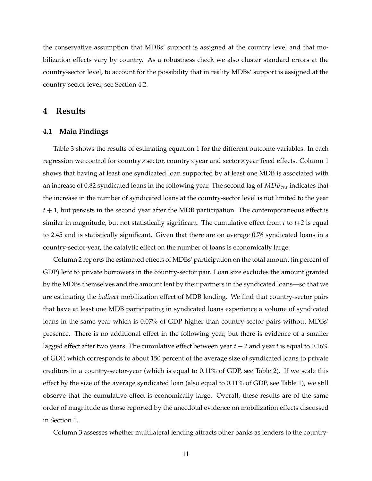the conservative assumption that MDBs' support is assigned at the country level and that mobilization effects vary by country. As a robustness check we also cluster standard errors at the country-sector level, to account for the possibility that in reality MDBs' support is assigned at the country-sector level; see Section [4.2.](#page-12-0)

### <span id="page-11-0"></span>**4 Results**

#### <span id="page-11-1"></span>**4.1 Main Findings**

Table [3](#page-32-0) shows the results of estimating equation [1](#page-10-0) for the different outcome variables. In each regression we control for country×sector, country×year and sector×year fixed effects. Column 1 shows that having at least one syndicated loan supported by at least one MDB is associated with an increase of 0.82 syndicated loans in the following year. The second lag of *MDBcs*,*<sup>t</sup>* indicates that the increase in the number of syndicated loans at the country-sector level is not limited to the year  $t + 1$ , but persists in the second year after the MDB participation. The contemporaneous effect is similar in magnitude, but not statistically significant. The cumulative effect from *t* to *t+2* is equal to 2.45 and is statistically significant. Given that there are on average 0.76 syndicated loans in a country-sector-year, the catalytic effect on the number of loans is economically large.

Column 2 reports the estimated effects of MDBs' participation on the total amount (in percent of GDP) lent to private borrowers in the country-sector pair. Loan size excludes the amount granted by the MDBs themselves and the amount lent by their partners in the syndicated loans—so that we are estimating the *indirect* mobilization effect of MDB lending. We find that country-sector pairs that have at least one MDB participating in syndicated loans experience a volume of syndicated loans in the same year which is 0.07% of GDP higher than country-sector pairs without MDBs' presence. There is no additional effect in the following year, but there is evidence of a smaller lagged effect after two years. The cumulative effect between year *t* − 2 and year *t* is equal to 0.16% of GDP, which corresponds to about 150 percent of the average size of syndicated loans to private creditors in a country-sector-year (which is equal to 0.11% of GDP, see Table [2\)](#page-31-2). If we scale this effect by the size of the average syndicated loan (also equal to 0.11% of GDP, see Table [1\)](#page-31-1), we still observe that the cumulative effect is economically large. Overall, these results are of the same order of magnitude as those reported by the anecdotal evidence on mobilization effects discussed in Section [1.](#page-3-0)

Column 3 assesses whether multilateral lending attracts other banks as lenders to the country-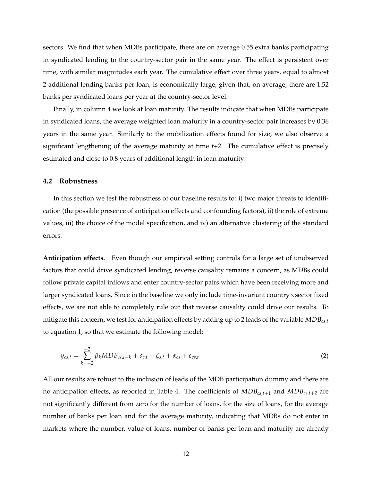sectors. We find that when MDBs participate, there are on average 0.55 extra banks participating in syndicated lending to the country-sector pair in the same year. The effect is persistent over time, with similar magnitudes each year. The cumulative effect over three years, equal to almost 2 additional lending banks per loan, is economically large, given that, on average, there are 1.52 banks per syndicated loans per year at the country-sector level.

Finally, in column 4 we look at loan maturity. The results indicate that when MDBs participate in syndicated loans, the average weighted loan maturity in a country-sector pair increases by 0.36 years in the same year. Similarly to the mobilization effects found for size, we also observe a significant lengthening of the average maturity at time *t+2*. The cumulative effect is precisely estimated and close to 0.8 years of additional length in loan maturity.

#### <span id="page-12-0"></span>**4.2 Robustness**

In this section we test the robustness of our baseline results to: i) two major threats to identification (the possible presence of anticipation effects and confounding factors), ii) the role of extreme values, iii) the choice of the model specification, and iv) an alternative clustering of the standard errors.

**Anticipation effects.** Even though our empirical setting controls for a large set of unobserved factors that could drive syndicated lending, reverse causality remains a concern, as MDBs could follow private capital inflows and enter country-sector pairs which have been receiving more and larger syndicated loans. Since in the baseline we only include time-invariant country×sector fixed effects, we are not able to completely rule out that reverse causality could drive our results. To mitigate this concern, we test for anticipation effects by adding up to 2 leads of the variable *MDBcs*,*<sup>t</sup>* to equation [1,](#page-10-0) so that we estimate the following model:

<span id="page-12-1"></span>
$$
y_{cs,t} = \sum_{k=-2}^{+2} \beta_k MDB_{cs,t-k} + \delta_{c,t} + \zeta_{s,t} + \alpha_{cs} + \varepsilon_{cs,t}
$$
 (2)

All our results are robust to the inclusion of leads of the MDB participation dummy and there are no anticipation effects, as reported in Table [4.](#page-33-0) The coefficients of *MDBcs*,*t*+<sup>1</sup> and *MDBcs*,*t*+<sup>2</sup> are not significantly different from zero for the number of loans, for the size of loans, for the average number of banks per loan and for the average maturity, indicating that MDBs do not enter in markets where the number, value of loans, number of banks per loan and maturity are already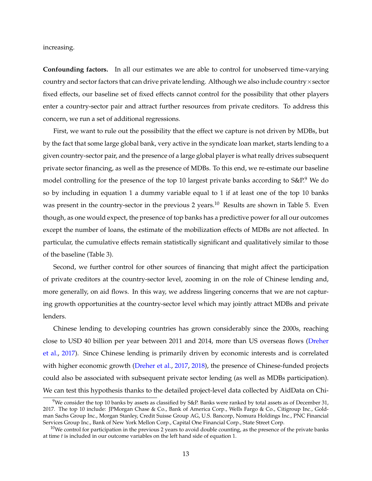increasing.

**Confounding factors.** In all our estimates we are able to control for unobserved time-varying country and sector factors that can drive private lending. Although we also include country×sector fixed effects, our baseline set of fixed effects cannot control for the possibility that other players enter a country-sector pair and attract further resources from private creditors. To address this concern, we run a set of additional regressions.

First, we want to rule out the possibility that the effect we capture is not driven by MDBs, but by the fact that some large global bank, very active in the syndicate loan market, starts lending to a given country-sector pair, and the presence of a large global player is what really drives subsequent private sector financing, as well as the presence of MDBs. To this end, we re-estimate our baseline model controlling for the presence of the top 10 largest private banks according to S&P.<sup>[9](#page--1-0)</sup> We do so by including in equation [1](#page-10-0) a dummy variable equal to 1 if at least one of the top 10 banks was present in the country-sector in the previous 2 years.<sup>[10](#page--1-0)</sup> Results are shown in Table [5.](#page-34-0) Even though, as one would expect, the presence of top banks has a predictive power for all our outcomes except the number of loans, the estimate of the mobilization effects of MDBs are not affected. In particular, the cumulative effects remain statistically significant and qualitatively similar to those of the baseline (Table [3\)](#page-32-0).

Second, we further control for other sources of financing that might affect the participation of private creditors at the country-sector level, zooming in on the role of Chinese lending and, more generally, on aid flows. In this way, we address lingering concerns that we are not capturing growth opportunities at the country-sector level which may jointly attract MDBs and private lenders.

Chinese lending to developing countries has grown considerably since the 2000s, reaching close to USD 40 billion per year between 2011 and 2014, more than US overseas flows [\(Dreher](#page-25-8) [et al.,](#page-25-8) [2017\)](#page-25-8). Since Chinese lending is primarily driven by economic interests and is correlated with higher economic growth [\(Dreher et al.,](#page-25-8) [2017,](#page-25-8) [2018\)](#page-25-9), the presence of Chinese-funded projects could also be associated with subsequent private sector lending (as well as MDBs participation). We can test this hypothesis thanks to the detailed project-level data collected by AidData on Chi-

<sup>&</sup>lt;sup>9</sup>We consider the top 10 banks by assets as classified by S&P. Banks were ranked by total assets as of December 31, 2017. The top 10 include: JPMorgan Chase & Co., Bank of America Corp., Wells Fargo & Co., Citigroup Inc., Goldman Sachs Group Inc., Morgan Stanley, Credit Suisse Group AG, U.S. Bancorp, Nomura Holdings Inc., PNC Financial Services Group Inc., Bank of New York Mellon Corp., Capital One Financial Corp., State Street Corp.

 $10$ We control for participation in the previous 2 years to avoid double counting, as the presence of the private banks at time *t* is included in our outcome variables on the left hand side of equation [1.](#page-10-0)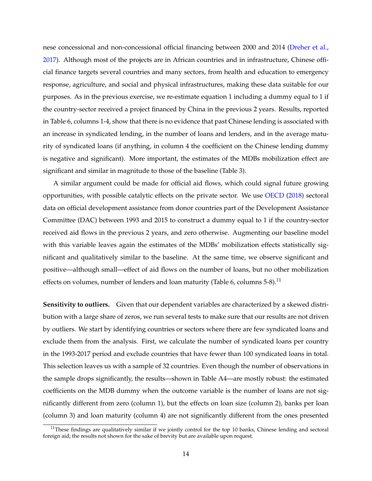nese concessional and non-concessional official financing between 2000 and 2014 [\(Dreher et al.,](#page-25-8) [2017\)](#page-25-8). Although most of the projects are in African countries and in infrastructure, Chinese official finance targets several countries and many sectors, from health and education to emergency response, agriculture, and social and physical infrastructures, making these data suitable for our purposes. As in the previous exercise, we re-estimate equation [1](#page-10-0) including a dummy equal to 1 if the country-sector received a project financed by China in the previous 2 years. Results, reported in Table [6,](#page-35-0) columns 1-4, show that there is no evidence that past Chinese lending is associated with an increase in syndicated lending, in the number of loans and lenders, and in the average maturity of syndicated loans (if anything, in column 4 the coefficient on the Chinese lending dummy is negative and significant). More important, the estimates of the MDBs mobilization effect are significant and similar in magnitude to those of the baseline (Table [3\)](#page-32-0).

A similar argument could be made for official aid flows, which could signal future growing opportunities, with possible catalytic effects on the private sector. We use [OECD](#page-27-10) [\(2018\)](#page-27-10) sectoral data on official development assistance from donor countries part of the Development Assistance Committee (DAC) between 1993 and 2015 to construct a dummy equal to 1 if the country-sector received aid flows in the previous 2 years, and zero otherwise. Augmenting our baseline model with this variable leaves again the estimates of the MDBs' mobilization effects statistically significant and qualitatively similar to the baseline. At the same time, we observe significant and positive—although small—effect of aid flows on the number of loans, but no other mobilization effects on volumes, number of lenders and loan maturity (Table [6,](#page-35-0) columns 5-8).<sup>[11](#page--1-0)</sup>

**Sensitivity to outliers.** Given that our dependent variables are characterized by a skewed distribution with a large share of zeros, we run several tests to make sure that our results are not driven by outliers. We start by identifying countries or sectors where there are few syndicated loans and exclude them from the analysis. First, we calculate the number of syndicated loans per country in the 1993-2017 period and exclude countries that have fewer than 100 syndicated loans in total. This selection leaves us with a sample of 32 countries. Even though the number of observations in the sample drops significantly, the results—shown in Table [A4—](#page-45-0)are mostly robust: the estimated coefficients on the MDB dummy when the outcome variable is the number of loans are not significantly different from zero (column 1), but the effects on loan size (column 2), banks per loan (column 3) and loan maturity (column 4) are not significantly different from the ones presented

 $11$ These findings are qualitatively similar if we jointly control for the top 10 banks, Chinese lending and sectoral foreign aid; the results not shown for the sake of brevity but are available upon request.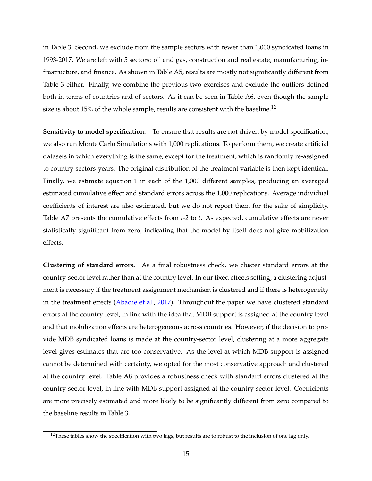in Table [3.](#page-32-0) Second, we exclude from the sample sectors with fewer than 1,000 syndicated loans in 1993-2017. We are left with 5 sectors: oil and gas, construction and real estate, manufacturing, infrastructure, and finance. As shown in Table [A5,](#page-46-0) results are mostly not significantly different from Table [3](#page-32-0) either. Finally, we combine the previous two exercises and exclude the outliers defined both in terms of countries and of sectors. As it can be seen in Table [A6,](#page-47-0) even though the sample size is about 15% of the whole sample, results are consistent with the baseline.<sup>[12](#page--1-0)</sup>

**Sensitivity to model specification.** To ensure that results are not driven by model specification, we also run Monte Carlo Simulations with 1,000 replications. To perform them, we create artificial datasets in which everything is the same, except for the treatment, which is randomly re-assigned to country-sectors-years. The original distribution of the treatment variable is then kept identical. Finally, we estimate equation [1](#page-10-0) in each of the 1,000 different samples, producing an averaged estimated cumulative effect and standard errors across the 1,000 replications. Average individual coefficients of interest are also estimated, but we do not report them for the sake of simplicity. Table [A7](#page-48-0) presents the cumulative effects from *t-2* to *t*. As expected, cumulative effects are never statistically significant from zero, indicating that the model by itself does not give mobilization effects.

**Clustering of standard errors.** As a final robustness check, we cluster standard errors at the country-sector level rather than at the country level. In our fixed effects setting, a clustering adjustment is necessary if the treatment assignment mechanism is clustered and if there is heterogeneity in the treatment effects [\(Abadie et al.,](#page-24-9) [2017\)](#page-24-9). Throughout the paper we have clustered standard errors at the country level, in line with the idea that MDB support is assigned at the country level and that mobilization effects are heterogeneous across countries. However, if the decision to provide MDB syndicated loans is made at the country-sector level, clustering at a more aggregate level gives estimates that are too conservative. As the level at which MDB support is assigned cannot be determined with certainty, we opted for the most conservative approach and clustered at the country level. Table [A8](#page-49-0) provides a robustness check with standard errors clustered at the country-sector level, in line with MDB support assigned at the country-sector level. Coefficients are more precisely estimated and more likely to be significantly different from zero compared to the baseline results in Table [3.](#page-32-0)

 $12$ These tables show the specification with two lags, but results are to robust to the inclusion of one lag only.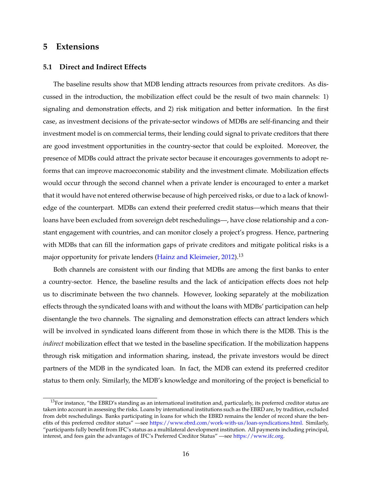## <span id="page-16-0"></span>**5 Extensions**

#### <span id="page-16-1"></span>**5.1 Direct and Indirect Effects**

The baseline results show that MDB lending attracts resources from private creditors. As discussed in the introduction, the mobilization effect could be the result of two main channels: 1) signaling and demonstration effects, and 2) risk mitigation and better information. In the first case, as investment decisions of the private-sector windows of MDBs are self-financing and their investment model is on commercial terms, their lending could signal to private creditors that there are good investment opportunities in the country-sector that could be exploited. Moreover, the presence of MDBs could attract the private sector because it encourages governments to adopt reforms that can improve macroeconomic stability and the investment climate. Mobilization effects would occur through the second channel when a private lender is encouraged to enter a market that it would have not entered otherwise because of high perceived risks, or due to a lack of knowledge of the counterpart. MDBs can extend their preferred credit status—which means that their loans have been excluded from sovereign debt reschedulings—, have close relationship and a constant engagement with countries, and can monitor closely a project's progress. Hence, partnering with MDBs that can fill the information gaps of private creditors and mitigate political risks is a major opportunity for private lenders [\(Hainz and Kleimeier,](#page-26-3) [2012\)](#page-26-3).<sup>[13](#page--1-0)</sup>

Both channels are consistent with our finding that MDBs are among the first banks to enter a country-sector. Hence, the baseline results and the lack of anticipation effects does not help us to discriminate between the two channels. However, looking separately at the mobilization effects through the syndicated loans with and without the loans with MDBs' participation can help disentangle the two channels. The signaling and demonstration effects can attract lenders which will be involved in syndicated loans different from those in which there is the MDB. This is the *indirect* mobilization effect that we tested in the baseline specification. If the mobilization happens through risk mitigation and information sharing, instead, the private investors would be direct partners of the MDB in the syndicated loan. In fact, the MDB can extend its preferred creditor status to them only. Similarly, the MDB's knowledge and monitoring of the project is beneficial to

<sup>&</sup>lt;sup>13</sup>For instance, "the EBRD's standing as an international institution and, particularly, its preferred creditor status are taken into account in assessing the risks. Loans by international institutions such as the EBRD are, by tradition, excluded from debt reschedulings. Banks participating in loans for which the EBRD remains the lender of record share the benefits of this preferred creditor status" —see [https://www.ebrd.com/work-with-us/loan-syndications.html.](https://www.ebrd.com/work-with-us/loan-syndications.html) Similarly, "participants fully benefit from IFC's status as a multilateral development institution. All payments including principal, interest, and fees gain the advantages of IFC's Preferred Creditor Status" —see [https://www.ifc.org.](https://www.ifc.org/wps/wcm/connect/corp_ext_content/ifc_external_corporate_site/solutions/products+and+services/syndications/b-loans)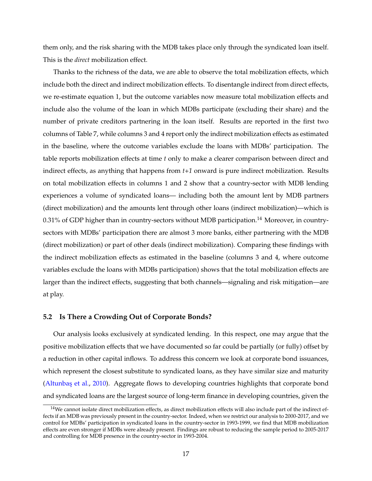them only, and the risk sharing with the MDB takes place only through the syndicated loan itself. This is the *direct* mobilization effect.

Thanks to the richness of the data, we are able to observe the total mobilization effects, which include both the direct and indirect mobilization effects. To disentangle indirect from direct effects, we re-estimate equation [1,](#page-10-0) but the outcome variables now measure total mobilization effects and include also the volume of the loan in which MDBs participate (excluding their share) and the number of private creditors partnering in the loan itself. Results are reported in the first two columns of Table [7,](#page-36-0) while columns 3 and 4 report only the indirect mobilization effects as estimated in the baseline, where the outcome variables exclude the loans with MDBs' participation. The table reports mobilization effects at time *t* only to make a clearer comparison between direct and indirect effects, as anything that happens from *t+1* onward is pure indirect mobilization. Results on total mobilization effects in columns 1 and 2 show that a country-sector with MDB lending experiences a volume of syndicated loans— including both the amount lent by MDB partners (direct mobilization) and the amounts lent through other loans (indirect mobilization)—which is 0.31% of GDP higher than in country-sectors without MDB participation.<sup>[14](#page--1-0)</sup> Moreover, in countrysectors with MDBs' participation there are almost 3 more banks, either partnering with the MDB (direct mobilization) or part of other deals (indirect mobilization). Comparing these findings with the indirect mobilization effects as estimated in the baseline (columns 3 and 4, where outcome variables exclude the loans with MDBs participation) shows that the total mobilization effects are larger than the indirect effects, suggesting that both channels—signaling and risk mitigation—are at play.

#### <span id="page-17-0"></span>**5.2 Is There a Crowding Out of Corporate Bonds?**

Our analysis looks exclusively at syndicated lending. In this respect, one may argue that the positive mobilization effects that we have documented so far could be partially (or fully) offset by a reduction in other capital inflows. To address this concern we look at corporate bond issuances, which represent the closest substitute to syndicated loans, as they have similar size and maturity (Altunbas et al., [2010\)](#page-24-6). Aggregate flows to developing countries highlights that corporate bond and syndicated loans are the largest source of long-term finance in developing countries, given the

 $14$ We cannot isolate direct mobilization effects, as direct mobilization effects will also include part of the indirect effects if an MDB was previously present in the country-sector. Indeed, when we restrict our analysis to 2000-2017, and we control for MDBs' participation in syndicated loans in the country-sector in 1993-1999, we find that MDB mobilization effects are even stronger if MDBs were already present. Findings are robust to reducing the sample period to 2005-2017 and controlling for MDB presence in the country-sector in 1993-2004.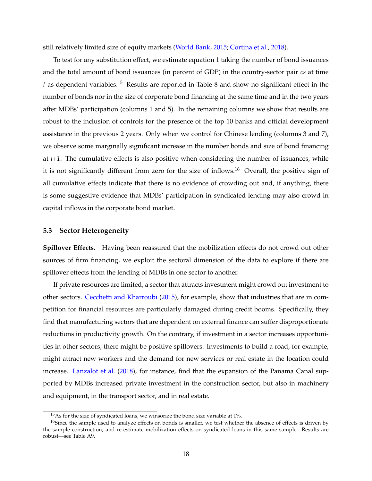still relatively limited size of equity markets [\(World Bank,](#page-28-1) [2015;](#page-28-1) [Cortina et al.,](#page-25-7) [2018\)](#page-25-7).

To test for any substitution effect, we estimate equation [1](#page-10-0) taking the number of bond issuances and the total amount of bond issuances (in percent of GDP) in the country-sector pair *cs* at time *t* as dependent variables.[15](#page--1-0) Results are reported in Table [8](#page-37-0) and show no significant effect in the number of bonds nor in the size of corporate bond financing at the same time and in the two years after MDBs' participation (columns 1 and 5). In the remaining columns we show that results are robust to the inclusion of controls for the presence of the top 10 banks and official development assistance in the previous 2 years. Only when we control for Chinese lending (columns 3 and 7), we observe some marginally significant increase in the number bonds and size of bond financing at *t+1*. The cumulative effects is also positive when considering the number of issuances, while it is not significantly different from zero for the size of inflows.<sup>[16](#page--1-0)</sup> Overall, the positive sign of all cumulative effects indicate that there is no evidence of crowding out and, if anything, there is some suggestive evidence that MDBs' participation in syndicated lending may also crowd in capital inflows in the corporate bond market.

#### <span id="page-18-0"></span>**5.3 Sector Heterogeneity**

**Spillover Effects.** Having been reassured that the mobilization effects do not crowd out other sources of firm financing, we exploit the sectoral dimension of the data to explore if there are spillover effects from the lending of MDBs in one sector to another.

If private resources are limited, a sector that attracts investment might crowd out investment to other sectors. [Cecchetti and Kharroubi](#page-24-10) [\(2015\)](#page-24-10), for example, show that industries that are in competition for financial resources are particularly damaged during credit booms. Specifically, they find that manufacturing sectors that are dependent on external finance can suffer disproportionate reductions in productivity growth. On the contrary, if investment in a sector increases opportunities in other sectors, there might be positive spillovers. Investments to build a road, for example, might attract new workers and the demand for new services or real estate in the location could increase. [Lanzalot et al.](#page-26-1) [\(2018\)](#page-26-1), for instance, find that the expansion of the Panama Canal supported by MDBs increased private investment in the construction sector, but also in machinery and equipment, in the transport sector, and in real estate.

 $15$ As for the size of syndicated loans, we winsorize the bond size variable at 1%.

<sup>&</sup>lt;sup>16</sup>Since the sample used to analyze effects on bonds is smaller, we test whether the absence of effects is driven by the sample construction, and re-estimate mobilization effects on syndicated loans in this same sample. Results are robust—see Table [A9.](#page-50-0)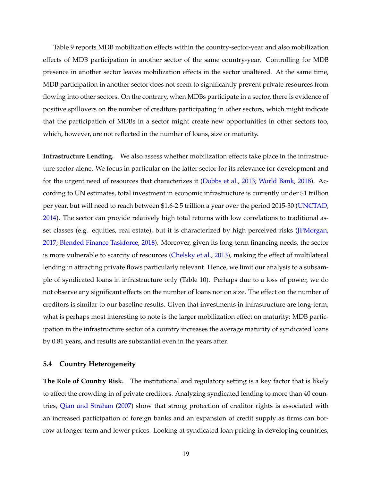Table [9](#page-38-0) reports MDB mobilization effects within the country-sector-year and also mobilization effects of MDB participation in another sector of the same country-year. Controlling for MDB presence in another sector leaves mobilization effects in the sector unaltered. At the same time, MDB participation in another sector does not seem to significantly prevent private resources from flowing into other sectors. On the contrary, when MDBs participate in a sector, there is evidence of positive spillovers on the number of creditors participating in other sectors, which might indicate that the participation of MDBs in a sector might create new opportunities in other sectors too, which, however, are not reflected in the number of loans, size or maturity.

**Infrastructure Lending.** We also assess whether mobilization effects take place in the infrastructure sector alone. We focus in particular on the latter sector for its relevance for development and for the urgent need of resources that characterizes it [\(Dobbs et al.,](#page-25-10) [2013;](#page-25-10) [World Bank,](#page-28-0) [2018\)](#page-28-0). According to UN estimates, total investment in economic infrastructure is currently under \$1 trillion per year, but will need to reach between \$1.6-2.5 trillion a year over the period 2015-30 [\(UNCTAD,](#page-27-0) [2014\)](#page-27-0). The sector can provide relatively high total returns with low correlations to traditional as-set classes (e.g. equities, real estate), but it is characterized by high perceived risks [\(JPMorgan,](#page-26-10) [2017;](#page-26-10) [Blended Finance Taskforce,](#page-24-11) [2018\)](#page-24-11). Moreover, given its long-term financing needs, the sector is more vulnerable to scarcity of resources [\(Chelsky et al.,](#page-24-2) [2013\)](#page-24-2), making the effect of multilateral lending in attracting private flows particularly relevant. Hence, we limit our analysis to a subsample of syndicated loans in infrastructure only (Table [10\)](#page-39-0). Perhaps due to a loss of power, we do not observe any significant effects on the number of loans nor on size. The effect on the number of creditors is similar to our baseline results. Given that investments in infrastructure are long-term, what is perhaps most interesting to note is the larger mobilization effect on maturity: MDB participation in the infrastructure sector of a country increases the average maturity of syndicated loans by 0.81 years, and results are substantial even in the years after.

#### <span id="page-19-0"></span>**5.4 Country Heterogeneity**

**The Role of Country Risk.** The institutional and regulatory setting is a key factor that is likely to affect the crowding in of private creditors. Analyzing syndicated lending to more than 40 countries, [Qian and Strahan](#page-27-11) [\(2007\)](#page-27-11) show that strong protection of creditor rights is associated with an increased participation of foreign banks and an expansion of credit supply as firms can borrow at longer-term and lower prices. Looking at syndicated loan pricing in developing countries,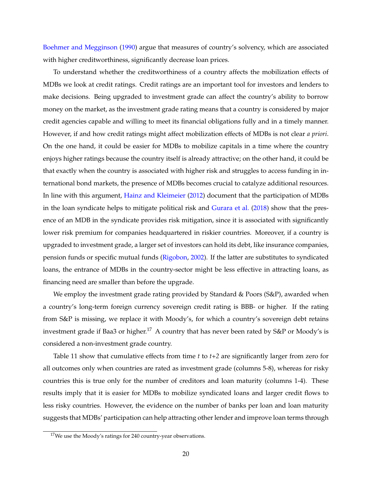[Boehmer and Megginson](#page-24-12) [\(1990\)](#page-24-12) argue that measures of country's solvency, which are associated with higher creditworthiness, significantly decrease loan prices.

To understand whether the creditworthiness of a country affects the mobilization effects of MDBs we look at credit ratings. Credit ratings are an important tool for investors and lenders to make decisions. Being upgraded to investment grade can affect the country's ability to borrow money on the market, as the investment grade rating means that a country is considered by major credit agencies capable and willing to meet its financial obligations fully and in a timely manner. However, if and how credit ratings might affect mobilization effects of MDBs is not clear *a priori*. On the one hand, it could be easier for MDBs to mobilize capitals in a time where the country enjoys higher ratings because the country itself is already attractive; on the other hand, it could be that exactly when the country is associated with higher risk and struggles to access funding in international bond markets, the presence of MDBs becomes crucial to catalyze additional resources. In line with this argument, [Hainz and Kleimeier](#page-26-3) [\(2012\)](#page-26-3) document that the participation of MDBs in the loan syndicate helps to mitigate political risk and [Gurara et al.](#page-26-4) [\(2018\)](#page-26-4) show that the presence of an MDB in the syndicate provides risk mitigation, since it is associated with significantly lower risk premium for companies headquartered in riskier countries. Moreover, if a country is upgraded to investment grade, a larger set of investors can hold its debt, like insurance companies, pension funds or specific mutual funds [\(Rigobon,](#page-27-12) [2002\)](#page-27-12). If the latter are substitutes to syndicated loans, the entrance of MDBs in the country-sector might be less effective in attracting loans, as financing need are smaller than before the upgrade.

We employ the investment grade rating provided by Standard & Poors  $(S\&P)$ , awarded when a country's long-term foreign currency sovereign credit rating is BBB- or higher. If the rating from S&P is missing, we replace it with Moody's, for which a country's sovereign debt retains investment grade if Baa3 or higher.<sup>[17](#page--1-0)</sup> A country that has never been rated by  $S\&P$  or Moody's is considered a non-investment grade country.

Table [11](#page-40-0) show that cumulative effects from time *t* to *t+2* are significantly larger from zero for all outcomes only when countries are rated as investment grade (columns 5-8), whereas for risky countries this is true only for the number of creditors and loan maturity (columns 1-4). These results imply that it is easier for MDBs to mobilize syndicated loans and larger credit flows to less risky countries. However, the evidence on the number of banks per loan and loan maturity suggests that MDBs' participation can help attracting other lender and improve loan terms through

 $17$ We use the Moody's ratings for 240 country-year observations.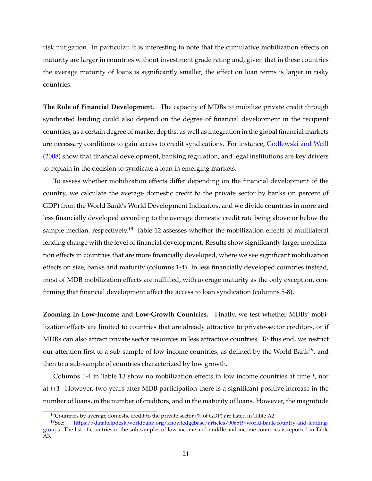risk mitigation. In particular, it is interesting to note that the cumulative mobilization effects on maturity are larger in countries without investment grade rating and, given that in these countries the average maturity of loans is significantly smaller, the effect on loan terms is larger in risky countries.

**The Role of Financial Development.** The capacity of MDBs to mobilize private credit through syndicated lending could also depend on the degree of financial development in the recipient countries, as a certain degree of market depths, as well as integration in the global financial markets are necessary conditions to gain access to credit syndications. For instance, [Godlewski and Weill](#page-26-11) [\(2008\)](#page-26-11) show that financial development, banking regulation, and legal institutions are key drivers to explain in the decision to syndicate a loan in emerging markets.

To assess whether mobilization effects differ depending on the financial development of the country, we calculate the average domestic credit to the private sector by banks (in percent of GDP) from the World Bank's World Development Indicators, and we divide countries in more and less financially developed according to the average domestic credit rate being above or below the sample median, respectively.<sup>[18](#page--1-0)</sup> Table [12](#page-41-0) assesses whether the mobilization effects of multilateral lending change with the level of financial development. Results show significantly larger mobilization effects in countries that are more financially developed, where we see significant mobilization effects on size, banks and maturity (columns 1-4). In less financially developed countries instead, most of MDB mobilization effects are nullified, with average maturity as the only exception, confirming that financial development affect the access to loan syndication (columns 5-8).

**Zooming in Low-Income and Low-Growth Countries.** Finally, we test whether MDBs' mobilization effects are limited to countries that are already attractive to private-sector creditors, or if MDBs can also attract private sector resources in less attractive countries. To this end, we restrict our attention first to a sub-sample of low income countries, as defined by the World Bank<sup>[19](#page--1-0)</sup>, and then to a sub-sample of countries characterized by low growth.

Columns 1-4 in Table [13](#page-42-0) show no mobilization effects in low income countries at time *t*, nor at *t+1*. However, two years after MDB participation there is a significant positive increase in the number of loans, in the number of creditors, and in the maturity of loans. However, the magnitude

<sup>&</sup>lt;sup>18</sup>Countries by average domestic credit to the private sector (% of GDP) are listed in Table [A2.](#page-44-0)

<sup>19</sup>See: [https://datahelpdesk.worldbank.org/knowledgebase/articles/906519-world-bank-country-and-lending](https://datahelpdesk.worldbank.org/knowledgebase/articles/906519-world-bank-country-and-lending-groups)[groups.](https://datahelpdesk.worldbank.org/knowledgebase/articles/906519-world-bank-country-and-lending-groups) The list of countries in the sub-samples of low income and middle and income countries is reported in Table [A3.](#page-44-1)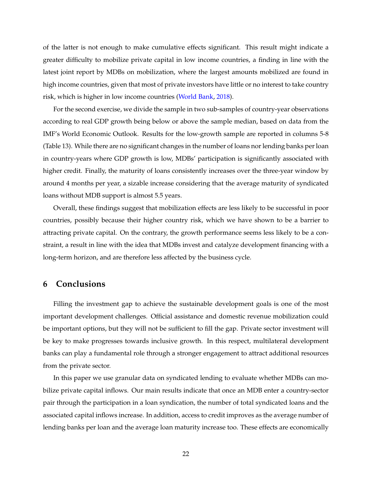of the latter is not enough to make cumulative effects significant. This result might indicate a greater difficulty to mobilize private capital in low income countries, a finding in line with the latest joint report by MDBs on mobilization, where the largest amounts mobilized are found in high income countries, given that most of private investors have little or no interest to take country risk, which is higher in low income countries [\(World Bank,](#page-28-0) [2018\)](#page-28-0).

For the second exercise, we divide the sample in two sub-samples of country-year observations according to real GDP growth being below or above the sample median, based on data from the IMF's World Economic Outlook. Results for the low-growth sample are reported in columns 5-8 (Table [13\)](#page-42-0). While there are no significant changes in the number of loans nor lending banks per loan in country-years where GDP growth is low, MDBs' participation is significantly associated with higher credit. Finally, the maturity of loans consistently increases over the three-year window by around 4 months per year, a sizable increase considering that the average maturity of syndicated loans without MDB support is almost 5.5 years.

Overall, these findings suggest that mobilization effects are less likely to be successful in poor countries, possibly because their higher country risk, which we have shown to be a barrier to attracting private capital. On the contrary, the growth performance seems less likely to be a constraint, a result in line with the idea that MDBs invest and catalyze development financing with a long-term horizon, and are therefore less affected by the business cycle.

## <span id="page-22-0"></span>**6 Conclusions**

Filling the investment gap to achieve the sustainable development goals is one of the most important development challenges. Official assistance and domestic revenue mobilization could be important options, but they will not be sufficient to fill the gap. Private sector investment will be key to make progresses towards inclusive growth. In this respect, multilateral development banks can play a fundamental role through a stronger engagement to attract additional resources from the private sector.

In this paper we use granular data on syndicated lending to evaluate whether MDBs can mobilize private capital inflows. Our main results indicate that once an MDB enter a country-sector pair through the participation in a loan syndication, the number of total syndicated loans and the associated capital inflows increase. In addition, access to credit improves as the average number of lending banks per loan and the average loan maturity increase too. These effects are economically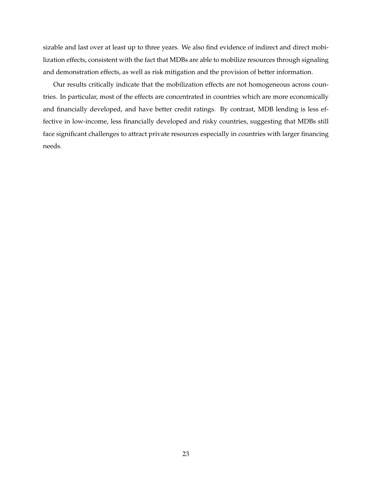sizable and last over at least up to three years. We also find evidence of indirect and direct mobilization effects, consistent with the fact that MDBs are able to mobilize resources through signaling and demonstration effects, as well as risk mitigation and the provision of better information.

Our results critically indicate that the mobilization effects are not homogeneous across countries. In particular, most of the effects are concentrated in countries which are more economically and financially developed, and have better credit ratings. By contrast, MDB lending is less effective in low-income, less financially developed and risky countries, suggesting that MDBs still face significant challenges to attract private resources especially in countries with larger financing needs.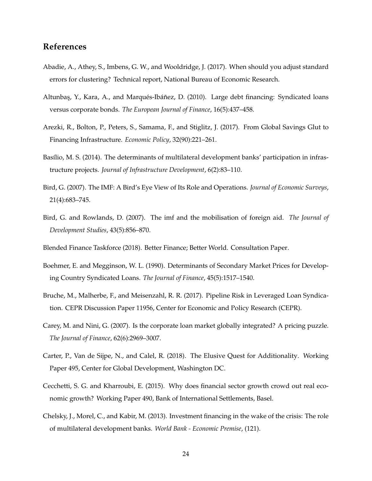# **References**

- <span id="page-24-9"></span>Abadie, A., Athey, S., Imbens, G. W., and Wooldridge, J. (2017). When should you adjust standard errors for clustering? Technical report, National Bureau of Economic Research.
- <span id="page-24-6"></span>Altunbas, Y., Kara, A., and Marqués-Ibáñez, D. (2010). Large debt financing: Syndicated loans versus corporate bonds. *The European Journal of Finance*, 16(5):437–458.
- <span id="page-24-1"></span>Arezki, R., Bolton, P., Peters, S., Samama, F., and Stiglitz, J. (2017). From Global Savings Glut to Financing Infrastructure. *Economic Policy*, 32(90):221–261.
- <span id="page-24-0"></span>Basílio, M. S. (2014). The determinants of multilateral development banks' participation in infrastructure projects. *Journal of Infrastructure Development*, 6(2):83–110.
- <span id="page-24-4"></span>Bird, G. (2007). The IMF: A Bird's Eye View of Its Role and Operations. *Journal of Economic Surveys*, 21(4):683–745.
- <span id="page-24-3"></span>Bird, G. and Rowlands, D. (2007). The imf and the mobilisation of foreign aid. *The Journal of Development Studies*, 43(5):856–870.
- <span id="page-24-11"></span>Blended Finance Taskforce (2018). Better Finance; Better World. Consultation Paper.
- <span id="page-24-12"></span>Boehmer, E. and Megginson, W. L. (1990). Determinants of Secondary Market Prices for Developing Country Syndicated Loans. *The Journal of Finance*, 45(5):1517–1540.
- <span id="page-24-7"></span>Bruche, M., Malherbe, F., and Meisenzahl, R. R. (2017). Pipeline Risk in Leveraged Loan Syndication. CEPR Discussion Paper 11956, Center for Economic and Policy Research (CEPR).
- <span id="page-24-8"></span>Carey, M. and Nini, G. (2007). Is the corporate loan market globally integrated? A pricing puzzle. *The Journal of Finance*, 62(6):2969–3007.
- <span id="page-24-5"></span>Carter, P., Van de Sijpe, N., and Calel, R. (2018). The Elusive Quest for Additionality. Working Paper 495, Center for Global Development, Washington DC.
- <span id="page-24-10"></span>Cecchetti, S. G. and Kharroubi, E. (2015). Why does financial sector growth crowd out real economic growth? Working Paper 490, Bank of International Settlements, Basel.
- <span id="page-24-2"></span>Chelsky, J., Morel, C., and Kabir, M. (2013). Investment financing in the wake of the crisis: The role of multilateral development banks. *World Bank - Economic Premise*, (121).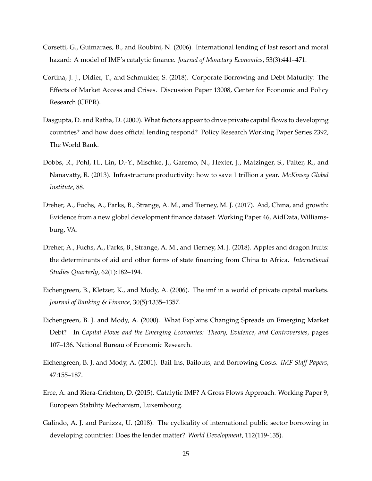- <span id="page-25-3"></span>Corsetti, G., Guimaraes, B., and Roubini, N. (2006). International lending of last resort and moral hazard: A model of IMF's catalytic finance. *Journal of Monetary Economics*, 53(3):441–471.
- <span id="page-25-7"></span>Cortina, J. J., Didier, T., and Schmukler, S. (2018). Corporate Borrowing and Debt Maturity: The Effects of Market Access and Crises. Discussion Paper 13008, Center for Economic and Policy Research (CEPR).
- <span id="page-25-2"></span>Dasgupta, D. and Ratha, D. (2000). What factors appear to drive private capital flows to developing countries? and how does official lending respond? Policy Research Working Paper Series 2392, The World Bank.
- <span id="page-25-10"></span>Dobbs, R., Pohl, H., Lin, D.-Y., Mischke, J., Garemo, N., Hexter, J., Matzinger, S., Palter, R., and Nanavatty, R. (2013). Infrastructure productivity: how to save 1 trillion a year. *McKinsey Global Institute*, 88.
- <span id="page-25-8"></span>Dreher, A., Fuchs, A., Parks, B., Strange, A. M., and Tierney, M. J. (2017). Aid, China, and growth: Evidence from a new global development finance dataset. Working Paper 46, AidData, Williamsburg, VA.
- <span id="page-25-9"></span>Dreher, A., Fuchs, A., Parks, B., Strange, A. M., and Tierney, M. J. (2018). Apples and dragon fruits: the determinants of aid and other forms of state financing from China to Africa. *International Studies Quarterly*, 62(1):182–194.
- <span id="page-25-5"></span>Eichengreen, B., Kletzer, K., and Mody, A. (2006). The imf in a world of private capital markets. *Journal of Banking & Finance*, 30(5):1335–1357.
- <span id="page-25-1"></span>Eichengreen, B. J. and Mody, A. (2000). What Explains Changing Spreads on Emerging Market Debt? In *Capital Flows and the Emerging Economies: Theory, Evidence, and Controversies*, pages 107–136. National Bureau of Economic Research.
- <span id="page-25-4"></span>Eichengreen, B. J. and Mody, A. (2001). Bail-Ins, Bailouts, and Borrowing Costs. *IMF Staff Papers*, 47:155–187.
- <span id="page-25-6"></span>Erce, A. and Riera-Crichton, D. (2015). Catalytic IMF? A Gross Flows Approach. Working Paper 9, European Stability Mechanism, Luxembourg.
- <span id="page-25-0"></span>Galindo, A. J. and Panizza, U. (2018). The cyclicality of international public sector borrowing in developing countries: Does the lender matter? *World Development*, 112(119-135).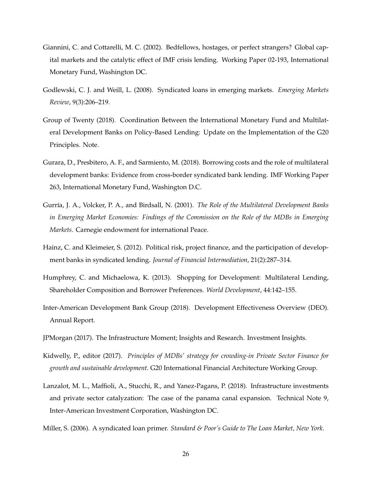- <span id="page-26-8"></span>Giannini, C. and Cottarelli, M. C. (2002). Bedfellows, hostages, or perfect strangers? Global capital markets and the catalytic effect of IMF crisis lending. Working Paper 02-193, International Monetary Fund, Washington DC.
- <span id="page-26-11"></span>Godlewski, C. J. and Weill, L. (2008). Syndicated loans in emerging markets. *Emerging Markets Review*, 9(3):206–219.
- <span id="page-26-6"></span>Group of Twenty (2018). Coordination Between the International Monetary Fund and Multilateral Development Banks on Policy-Based Lending: Update on the Implementation of the G20 Principles. Note.
- <span id="page-26-4"></span>Gurara, D., Presbitero, A. F., and Sarmiento, M. (2018). Borrowing costs and the role of multilateral development banks: Evidence from cross-border syndicated bank lending. IMF Working Paper 263, International Monetary Fund, Washington D.C.
- <span id="page-26-7"></span>Gurría, J. A., Volcker, P. A., and Birdsall, N. (2001). *The Role of the Multilateral Development Banks in Emerging Market Economies: Findings of the Commission on the Role of the MDBs in Emerging Markets*. Carnegie endowment for international Peace.
- <span id="page-26-3"></span>Hainz, C. and Kleimeier, S. (2012). Political risk, project finance, and the participation of development banks in syndicated lending. *Journal of Financial Intermediation*, 21(2):287–314.
- <span id="page-26-0"></span>Humphrey, C. and Michaelowa, K. (2013). Shopping for Development: Multilateral Lending, Shareholder Composition and Borrower Preferences. *World Development*, 44:142–155.
- <span id="page-26-5"></span>Inter-American Development Bank Group (2018). Development Effectiveness Overview (DEO). Annual Report.
- <span id="page-26-10"></span>JPMorgan (2017). The Infrastructure Moment; Insights and Research. Investment Insights.
- <span id="page-26-2"></span>Kidwelly, P., editor (2017). *Principles of MDBs' strategy for crowding-in Private Sector Finance for growth and sustainable development*. G20 International Financial Architecture Working Group.
- <span id="page-26-1"></span>Lanzalot, M. L., Maffioli, A., Stucchi, R., and Yanez-Pagans, P. (2018). Infrastructure investments and private sector catalyzation: The case of the panama canal expansion. Technical Note 9, Inter-American Investment Corporation, Washington DC.
- <span id="page-26-9"></span>Miller, S. (2006). A syndicated loan primer. *Standard & Poor's Guide to The Loan Market, New York*.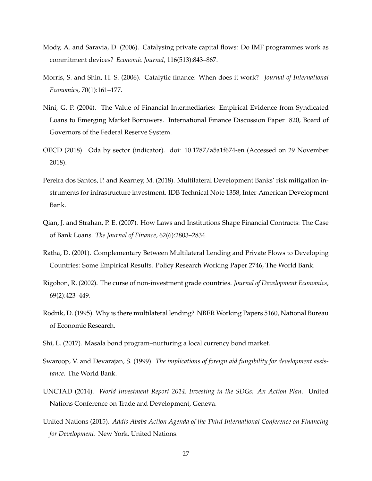- <span id="page-27-8"></span>Mody, A. and Saravia, D. (2006). Catalysing private capital flows: Do IMF programmes work as commitment devices? *Economic Journal*, 116(513):843–867.
- <span id="page-27-3"></span>Morris, S. and Shin, H. S. (2006). Catalytic finance: When does it work? *Journal of International Economics*, 70(1):161–177.
- <span id="page-27-9"></span>Nini, G. P. (2004). The Value of Financial Intermediaries: Empirical Evidence from Syndicated Loans to Emerging Market Borrowers. International Finance Discussion Paper 820, Board of Governors of the Federal Reserve System.
- <span id="page-27-10"></span>OECD (2018). Oda by sector (indicator). doi: 10.1787/a5a1f674-en (Accessed on 29 November 2018).
- <span id="page-27-4"></span>Pereira dos Santos, P. and Kearney, M. (2018). Multilateral Development Banks' risk mitigation instruments for infrastructure investment. IDB Technical Note 1358, Inter-American Development Bank.
- <span id="page-27-11"></span>Qian, J. and Strahan, P. E. (2007). How Laws and Institutions Shape Financial Contracts: The Case of Bank Loans. *The Journal of Finance*, 62(6):2803–2834.
- <span id="page-27-5"></span>Ratha, D. (2001). Complementary Between Multilateral Lending and Private Flows to Developing Countries: Some Empirical Results. Policy Research Working Paper 2746, The World Bank.
- <span id="page-27-12"></span>Rigobon, R. (2002). The curse of non-investment grade countries. *Journal of Development Economics*, 69(2):423–449.
- <span id="page-27-7"></span>Rodrik, D. (1995). Why is there multilateral lending? NBER Working Papers 5160, National Bureau of Economic Research.
- <span id="page-27-2"></span>Shi, L. (2017). Masala bond program–nurturing a local currency bond market.
- <span id="page-27-6"></span>Swaroop, V. and Devarajan, S. (1999). *The implications of foreign aid fungibility for development assistance*. The World Bank.
- <span id="page-27-0"></span>UNCTAD (2014). *World Investment Report 2014. Investing in the SDGs: An Action Plan*. United Nations Conference on Trade and Development, Geneva.
- <span id="page-27-1"></span>United Nations (2015). *Addis Ababa Action Agenda of the Third International Conference on Financing for Development*. New York. United Nations.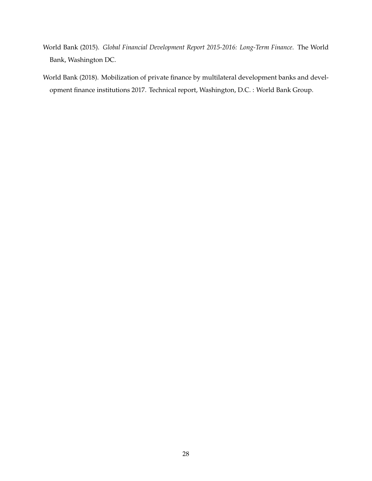- <span id="page-28-1"></span>World Bank (2015). *Global Financial Development Report 2015-2016: Long-Term Finance*. The World Bank, Washington DC.
- <span id="page-28-0"></span>World Bank (2018). Mobilization of private finance by multilateral development banks and development finance institutions 2017. Technical report, Washington, D.C. : World Bank Group.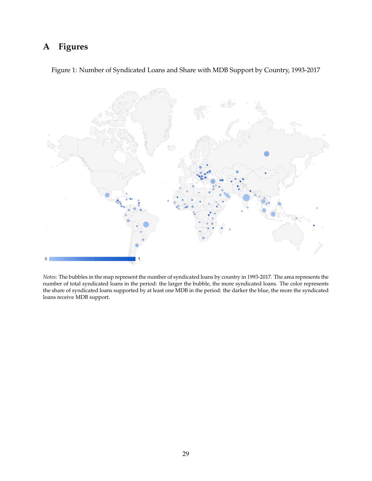# <span id="page-29-0"></span>**A Figures**

<span id="page-29-1"></span>Figure 1: Number of Syndicated Loans and Share with MDB Support by Country, 1993-2017



*Notes*: The bubbles in the map represent the number of syndicated loans by country in 1993-2017. The area represents the number of total syndicated loans in the period: the larger the bubble, the more syndicated loans. The color represents the share of syndicated loans supported by at least one MDB in the period: the darker the blue, the more the syndicated loans receive MDB support.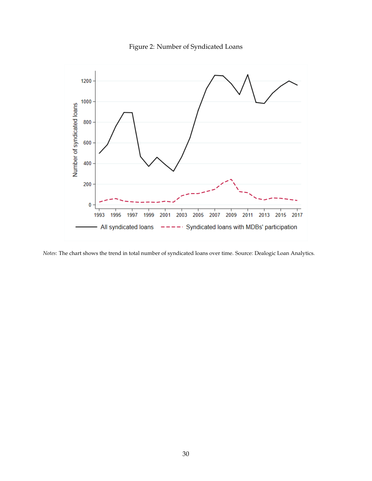

<span id="page-30-0"></span>

*Notes*: The chart shows the trend in total number of syndicated loans over time. Source: Dealogic Loan Analytics.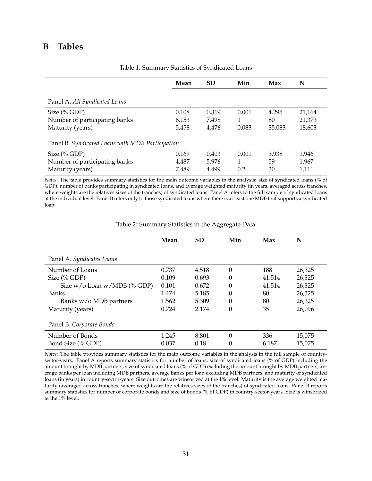# <span id="page-31-1"></span><span id="page-31-0"></span>**B Tables**

|                                                  | Mean  | <b>SD</b> | Min   | Max    | N      |
|--------------------------------------------------|-------|-----------|-------|--------|--------|
| Panel A. All Syndicated Loans                    |       |           |       |        |        |
| Size $(\%$ GDP)                                  | 0.108 | 0.319     | 0.001 | 4.295  | 21,164 |
| Number of participating banks                    | 6.153 | 7.498     | 1     | 80     | 21,373 |
| Maturity (years)                                 | 5.458 | 4.476     | 0.083 | 35.083 | 18,603 |
| Panel B. Syndicated Loans with MDB Participation |       |           |       |        |        |
| Size $(\%$ GDP)                                  | 0.169 | 0.403     | 0.001 | 3.938  | 1,946  |
| Number of participating banks                    | 4.487 | 5.976     | 1     | 59     | 1,967  |
| Maturity (years)                                 | 7.489 | 4.499     | 0.2   | 30     | 1,111  |

Table 1: Summary Statistics of Syndicated Loans

*Notes*: The table provides summary statistics for the main outcome variables in the analysis: size of syndicated loans (% of GDP), number of banks participating in syndicated loans, and average weighted maturity (in years, averaged across tranches, where weights are the relatives sizes of the tranches) of syndicated loans. Panel A refers to the full sample of syndicated loans at the individual level. Panel B refers only to those syndicated loans where there is at least one MDB that supports a syndicated loan.

<span id="page-31-2"></span>

|                                  | Mean  | <b>SD</b> | Min      | Max    | N      |
|----------------------------------|-------|-----------|----------|--------|--------|
|                                  |       |           |          |        |        |
| Panel A. Syndicates Loans        |       |           |          |        |        |
| Number of Loans                  | 0.737 | 4.518     | $\theta$ | 188    | 26,325 |
| Size $(\%$ GDP)                  | 0.109 | 0.693     | 0        | 41.514 | 26,325 |
| Size $w/$ o Loan $w/MDB$ (% GDP) | 0.101 | 0.672     | $\Omega$ | 41.514 | 26,325 |
| Banks                            | 1.474 | 5.185     | $\theta$ | 80     | 26,325 |
| Banks w/o MDB partners           | 1.562 | 5.309     | 0        | 80     | 26,325 |
| Maturity (years)                 | 0.724 | 2.174     | 0        | 35     | 26,096 |
| Panel B. Corporate Bonds         |       |           |          |        |        |
| Number of Bonds                  | 1.245 | 8.801     | $\Omega$ | 336    | 15,075 |
| Bond Size (% GDP)                | 0.037 | 0.18      | 0        | 6.187  | 15,075 |

Table 2: Summary Statistics in the Aggregate Data

*Notes*: The table provides summary statistics for the main outcome variables in the analysis in the full sample of countrysector-years. Panel A reports summary statistics for number of loans, size of syndicated loans (% of GDP) including the amount brought by MDB partners, size of syndicated loans (% of GDP) excluding the amount brought by MDB partners, average banks per loan including MDB partners, average banks per loan excluding MDB partners, and maturity of syndicated loans (in years) in country-sector-years. Size outcomes are winsorized at the 1% level. Maturity is the average weighted maturity (averaged across tranches, where weights are the relatives sizes of the tranches) of syndicated loans. Panel B reports summary statistics for number of corporate bonds and size of bonds (% of GDP) in country-sector-years. Size is winsorized at the 1% level.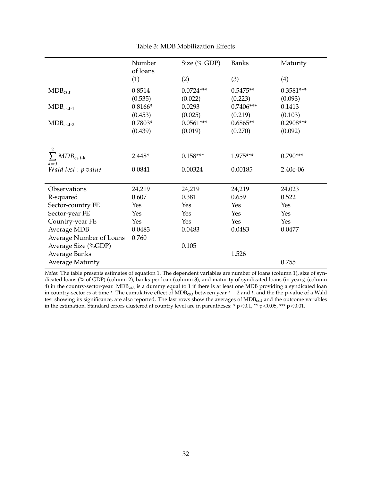<span id="page-32-0"></span>

|                                 | Number    | Size (% GDP) | <b>Banks</b> | Maturity    |
|---------------------------------|-----------|--------------|--------------|-------------|
|                                 | of loans  |              |              |             |
|                                 | (1)       | (2)          | (3)          | (4)         |
| $MDB_{cs,t}$                    | 0.8514    | $0.0724***$  | $0.5475**$   | $0.3581***$ |
|                                 | (0.535)   | (0.022)      | (0.223)      | (0.093)     |
| $MDB_{cs,t-1}$                  | $0.8166*$ | 0.0293       | $0.7406***$  | 0.1413      |
|                                 | (0.453)   | (0.025)      | (0.219)      | (0.103)     |
| $MDB_{cs,t-2}$                  | $0.7803*$ | $0.0561***$  | $0.6865**$   | $0.2908***$ |
|                                 | (0.439)   | (0.019)      | (0.270)      | (0.092)     |
|                                 |           |              |              |             |
| 2<br>$\sum MDB_{\text{cs,t-k}}$ | $2.448*$  | $0.158***$   | 1.975***     | $0.790***$  |
| $k=0$                           |           |              |              |             |
| Wald test : p value             | 0.0841    | 0.00324      | 0.00185      | 2.40e-06    |
|                                 |           |              |              |             |
| Observations                    | 24,219    | 24,219       | 24,219       | 24,023      |
| R-squared                       | 0.607     | 0.381        | 0.659        | 0.522       |
| Sector-country FE               | Yes       | Yes          | Yes          | Yes         |
| Sector-year FE                  | Yes       | Yes          | Yes          | Yes         |
| Country-year FE                 | Yes       | Yes          | Yes          | Yes         |
| <b>Average MDB</b>              | 0.0483    | 0.0483       | 0.0483       | 0.0477      |
| Average Number of Loans         | 0.760     |              |              |             |
| Average Size (%GDP)             |           | 0.105        |              |             |
| <b>Average Banks</b>            |           |              | 1.526        |             |
| <b>Average Maturity</b>         |           |              |              | 0.755       |

Table 3: MDB Mobilization Effects

*Notes*: The table presents estimates of equation [1.](#page-10-0) The dependent variables are number of loans (column 1), size of syndicated loans (% of GDP) (column 2), banks per loan (column 3), and maturity of syndicated loans (in years) (column 4) in the country-sector-year.  $MDB_{cs,t}$  is a dummy equal to 1 if there is at least one MDB providing a syndicated loan in country-sector *cs* at time *t*. The cumulative effect of MDBcs,t between year *t* − 2 and *t*, and the the p-value of a Wald test showing its significance, are also reported. The last rows show the averages of MDB<sub>cs,t</sub> and the outcome variables in the estimation. Standard errors clustered at country level are in parentheses: \* p<0.1, \*\* p<0.05, \*\*\* p<0.01.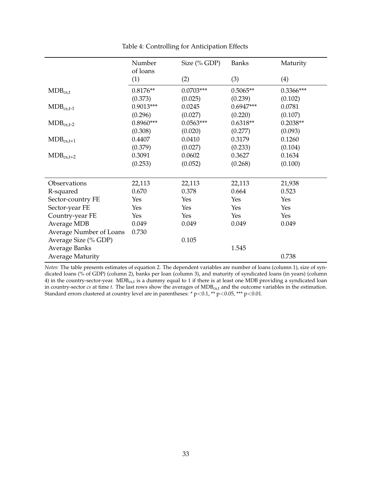<span id="page-33-0"></span>

|                         | Number      | Size (% GDP) | <b>Banks</b> | Maturity    |
|-------------------------|-------------|--------------|--------------|-------------|
|                         | of loans    |              |              |             |
|                         | (1)         | (2)          | (3)          | (4)         |
| $MDB_{cs,t}$            | $0.8176**$  | $0.0703***$  | $0.5065**$   | $0.3366***$ |
|                         | (0.373)     | (0.025)      | (0.239)      | (0.102)     |
| $MDB_{cs,t-1}$          | $0.9013***$ | 0.0245       | $0.6947***$  | 0.0781      |
|                         | (0.296)     | (0.027)      | (0.220)      | (0.107)     |
| $MDB_{cs,t-2}$          | $0.8960***$ | $0.0563***$  | $0.6318**$   | $0.2038**$  |
|                         | (0.308)     | (0.020)      | (0.277)      | (0.093)     |
| $MDB_{cs,t+1}$          | 0.4407      | 0.0410       | 0.3179       | 0.1260      |
|                         | (0.379)     | (0.027)      | (0.233)      | (0.104)     |
| $MDB_{cs,t+2}$          | 0.3091      | 0.0602       | 0.3627       | 0.1634      |
|                         | (0.253)     | (0.052)      | (0.268)      | (0.100)     |
|                         |             |              |              |             |
| Observations            | 22,113      | 22,113       | 22,113       | 21,938      |
| R-squared               | 0.670       | 0.378        | 0.664        | 0.523       |
| Sector-country FE       | Yes         | Yes          | Yes          | Yes         |
| Sector-year FE          | Yes         | Yes          | Yes          | Yes         |
| Country-year FE         | Yes         | Yes          | Yes          | Yes         |
| <b>Average MDB</b>      | 0.049       | 0.049        | 0.049        | 0.049       |
| Average Number of Loans | 0.730       |              |              |             |
| Average Size (% GDP)    |             | 0.105        |              |             |
| <b>Average Banks</b>    |             |              | 1.545        |             |
| <b>Average Maturity</b> |             |              |              | 0.738       |

Table 4: Controlling for Anticipation Effects

*Notes*: The table presents estimates of equation [2.](#page-12-1) The dependent variables are number of loans (column 1), size of syndicated loans (% of GDP) (column 2), banks per loan (column 3), and maturity of syndicated loans (in years) (column 4) in the country-sector-year.  $MDB_{cs,t}$  is a dummy equal to 1 if there is at least one MDB providing a syndicated loan in country-sector *cs* at time *t*. The last rows show the averages of MDB<sub>cs,t</sub> and the outcome variables in the estimation. Standard errors clustered at country level are in parentheses: \* p<0.1, \*\* p<0.05, \*\*\* p<0.01.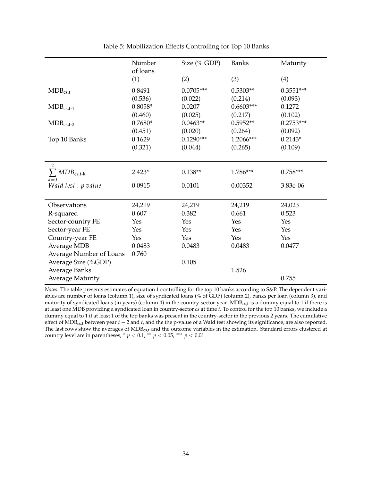<span id="page-34-0"></span>

|                                     | Number          | Size $(\%$ GDP) | <b>Banks</b> | Maturity    |
|-------------------------------------|-----------------|-----------------|--------------|-------------|
|                                     | of loans<br>(1) | (2)             | (3)          | (4)         |
| $MDB_{cs,t}$                        | 0.8491          | $0.0705***$     | $0.5303**$   | $0.3551***$ |
|                                     | (0.536)         | (0.022)         | (0.214)      | (0.093)     |
| $MDB_{cs,t-1}$                      | $0.8058*$       | 0.0207          | $0.6603***$  | 0.1272      |
|                                     | (0.460)         | (0.025)         | (0.217)      | (0.102)     |
| $MDB_{cs,t-2}$                      | $0.7680*$       | $0.0463**$      | $0.5952**$   | $0.2753***$ |
|                                     | (0.451)         | (0.020)         | (0.264)      | (0.092)     |
| Top 10 Banks                        | 0.1629          | $0.1290***$     | 1.2066***    | $0.2143*$   |
|                                     | (0.321)         | (0.044)         | (0.265)      | (0.109)     |
|                                     |                 |                 |              |             |
|                                     |                 |                 |              |             |
| $\sum MDB_{\text{cs,t-k}}$<br>$k=0$ | $2.423*$        | $0.138**$       | 1.786***     | $0.758***$  |
| Wald test : p value                 | 0.0915          | 0.0101          | 0.00352      | 3.83e-06    |
|                                     |                 |                 |              |             |
| Observations                        | 24,219          | 24,219          | 24,219       | 24,023      |
| R-squared                           | 0.607           | 0.382           | 0.661        | 0.523       |
| Sector-country FE                   | Yes             | Yes             | Yes          | Yes         |
| Sector-year FE                      | Yes             | Yes             | Yes          | Yes         |
| Country-year FE                     | Yes             | Yes             | Yes          | Yes         |
| <b>Average MDB</b>                  | 0.0483          | 0.0483          | 0.0483       | 0.0477      |
| Average Number of Loans             | 0.760           |                 |              |             |
| Average Size (%GDP)                 |                 | 0.105           |              |             |
| <b>Average Banks</b>                |                 |                 | 1.526        |             |
| <b>Average Maturity</b>             |                 |                 |              | 0.755       |

Table 5: Mobilization Effects Controlling for Top 10 Banks

*Notes*: The table presents estimates of equation [1](#page-10-0) controlling for the top 10 banks according to S&P. The dependent variables are number of loans (column 1), size of syndicated loans (% of GDP) (column 2), banks per loan (column 3), and maturity of syndicated loans (in years) (column 4) in the country-sector-year.  $MDB_{cs,t}$  is a dummy equal to 1 if there is at least one MDB providing a syndicated loan in country-sector *cs* at time *t*. To control for the top 10 banks, we include a dummy equal to 1 if at least 1 of the top banks was present in the country-sector in the previous 2 years. The cumulative effect of MDBcs,t between year *t* − 2 and *t*, and the the p-value of a Wald test showing its significance, are also reported. The last rows show the averages of MDB<sub>cs,t</sub> and the outcome variables in the estimation. Standard errors clustered at country level are in parentheses,  $*$   $p$  < 0.1,  $**$   $p$  < 0.05,  $***$   $p$  < 0.01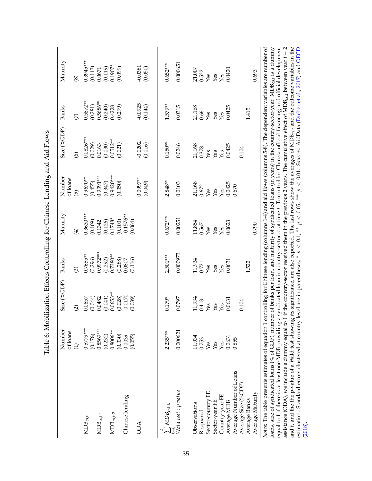|                                                                                                                                                                                                                                                                                                                                                                                                                                                                                                                                                                                 | Number<br>of loans | Size (%GDP)                                                                                                                 | Banks             | Maturity               | Number<br>of loans | Size (%GDP)     | Banks          | Maturity                      |
|---------------------------------------------------------------------------------------------------------------------------------------------------------------------------------------------------------------------------------------------------------------------------------------------------------------------------------------------------------------------------------------------------------------------------------------------------------------------------------------------------------------------------------------------------------------------------------|--------------------|-----------------------------------------------------------------------------------------------------------------------------|-------------------|------------------------|--------------------|-----------------|----------------|-------------------------------|
|                                                                                                                                                                                                                                                                                                                                                                                                                                                                                                                                                                                 | $\bigoplus$        | $\widehat{\Omega}$                                                                                                          | $\odot$           | $\bigoplus$            | $\overline{5}$     | $\odot$         | $\overline{C}$ | $\circledS$                   |
| $\text{MDB}_{\text{cs,t}}$                                                                                                                                                                                                                                                                                                                                                                                                                                                                                                                                                      | $0.5779***$        | 0.0657                                                                                                                      | $0.7655***$       | $0.3630***$            | $0.9670**$         | $0.0826***$     | $0.5872**$     | $0.3945***$                   |
|                                                                                                                                                                                                                                                                                                                                                                                                                                                                                                                                                                                 | (0.178)            | (0.044)                                                                                                                     | (0.296)           | (0.109)                | (0.455)            | (0.029)         | (0.281)        | (0.113)                       |
| $\text{MDB}_{\text{cs,t-1}}$                                                                                                                                                                                                                                                                                                                                                                                                                                                                                                                                                    | $0.8569***$        | 0.0482                                                                                                                      | 0.9972***         | 0.1342                 | 0.9391***          | 0.0163          | $0.5686**$     | 0.0671                        |
|                                                                                                                                                                                                                                                                                                                                                                                                                                                                                                                                                                                 | (0.232)            | (0.041)                                                                                                                     | (0.292)           | (0.126)                | (0.347)            | (0.030)         | (0.240)        | (0.119)                       |
| $\text{MDB}_{\text{cs,t-2}}$                                                                                                                                                                                                                                                                                                                                                                                                                                                                                                                                                    | $0.8006**$         | $0.0653**$                                                                                                                  | 0.7380**          | $0.1748*$              | $0.9420***$        | $0.0512***$     | 0.4228         | $0.1907*$                     |
|                                                                                                                                                                                                                                                                                                                                                                                                                                                                                                                                                                                 | (0.330)            | (0.028)                                                                                                                     | (0.288)           | (0.100)                | (0.350)            | (0.021)         | (0.299)        | (0.099)                       |
| Chinese lending                                                                                                                                                                                                                                                                                                                                                                                                                                                                                                                                                                 | (0.055)<br>0.0039  | $-0.0170$<br>(0.039)                                                                                                        | (0.116)<br>0.0807 | $-0.1576**$<br>(0.064) |                    |                 |                |                               |
| <b>ODA</b>                                                                                                                                                                                                                                                                                                                                                                                                                                                                                                                                                                      |                    |                                                                                                                             |                   |                        | $0.0997**$         | $-0.0202$       | $-0.0925$      | $-0.0381$<br>$(0.050)$        |
|                                                                                                                                                                                                                                                                                                                                                                                                                                                                                                                                                                                 |                    |                                                                                                                             |                   |                        | (0.049)            | (0.016)         | (0.144)        |                               |
| $\sum_{k} MDB_{\text{cst-k}}$                                                                                                                                                                                                                                                                                                                                                                                                                                                                                                                                                   | 2.235***           | $0.179*$                                                                                                                    | $2.501***$        | $0.672***$             | $2.848**$          | $0.150**$       | $1.579**$      | $0.652***$                    |
| $\frac{1}{\text{Wald test}: p \text{ value}}$                                                                                                                                                                                                                                                                                                                                                                                                                                                                                                                                   | 0.000621           | 0.0797                                                                                                                      | 0.000973          | 0.00251                | 0.0103             | 0.0246          | 0.0315         | 0.000651                      |
|                                                                                                                                                                                                                                                                                                                                                                                                                                                                                                                                                                                 |                    |                                                                                                                             |                   |                        |                    |                 |                |                               |
| Observations                                                                                                                                                                                                                                                                                                                                                                                                                                                                                                                                                                    | 11,934             | 11,934                                                                                                                      | 11,934            | 11,854                 | 21,168<br>0.672    | 21,168<br>0.378 | 21,168         | 21,007<br>0.522               |
| R-squared                                                                                                                                                                                                                                                                                                                                                                                                                                                                                                                                                                       | 0.753              | 0.413                                                                                                                       | 0.721             | 0.567                  |                    |                 | 0.661          |                               |
| Sector-country FE                                                                                                                                                                                                                                                                                                                                                                                                                                                                                                                                                               | Yes                | Yes                                                                                                                         | Yes               | Yes                    | Yes<br>Yes         | Yes             | Yes            | $\operatorname{\mathsf{Yes}}$ |
| Sector-year FE                                                                                                                                                                                                                                                                                                                                                                                                                                                                                                                                                                  | Yes                | Yes                                                                                                                         | Yes               | Yes                    |                    | Yes             | Yes            | Yes                           |
| Country-year FE                                                                                                                                                                                                                                                                                                                                                                                                                                                                                                                                                                 | Yes                | Yes                                                                                                                         | Yes               | Yes                    | Yes                | Yes             | Yes            | Yes                           |
| Average MDB                                                                                                                                                                                                                                                                                                                                                                                                                                                                                                                                                                     | 0.0631             | 0.0631                                                                                                                      | 0.0631            | 0.0623                 | 0.0425             | 0.0425          | 0.0425         | 0.0420                        |
| Average Number of Loans                                                                                                                                                                                                                                                                                                                                                                                                                                                                                                                                                         | 0.855              |                                                                                                                             |                   |                        | 0.670              |                 |                |                               |
| Average Size (%GDP)                                                                                                                                                                                                                                                                                                                                                                                                                                                                                                                                                             |                    | 0.104                                                                                                                       |                   |                        |                    | 0.104           |                |                               |
| Average Banks                                                                                                                                                                                                                                                                                                                                                                                                                                                                                                                                                                   |                    |                                                                                                                             | 1.522             |                        |                    |                 | 1.415          |                               |
| Average Maturity                                                                                                                                                                                                                                                                                                                                                                                                                                                                                                                                                                |                    |                                                                                                                             |                   | 0.790                  |                    |                 |                | 0.693                         |
| equal to 1 if there is at least one MDB providing a syndicated loan in country-sector cs at time t. To control for Chinese official financing and official development<br>Notes: The table presents estimates of equation 1 controlling for Chinese lending (columns 1-4) and aid flows (columns 5-8). The dependent variables are number of<br>assistance (ODA), we include a dummy equal to 1 if the country-sector received them in the previous 2 years. The cumulative effect of MDB <sub>cst</sub> between year $t-2$<br>loans, size of syndicated loans (% of GDP), numb |                    | er of banks per loan, and maturity of syndicated loans (in years) in the country-sector-year. MDB <sub>est</sub> is a dummy |                   |                        |                    |                 |                |                               |
| and t, and the the p-value of a Wald test showing its significance, are also reported. The last rows show the averages of MDB <sub>cst</sub> , and the outcome variables in the                                                                                                                                                                                                                                                                                                                                                                                                 |                    |                                                                                                                             |                   |                        |                    |                 |                |                               |

<span id="page-35-0"></span>Table 6: Mobilization Effects Controlling for Chinese Lending and Aid Flows Table 6: Mobilization Effects Controlling for Chinese Lending and Aid Flows

estimation. Standard errors clustered at country level are in parentheses,

[\(2018\)](#page-27-10).

∗

*p* < 0.1, ∗∗ *p* < 0.05, ∗∗∗ *p* < 0.01. *Sources:* AidData [\(Dreher](#page-25-8) et al., [2017\)](#page-25-8) and [OECD](#page-27-10)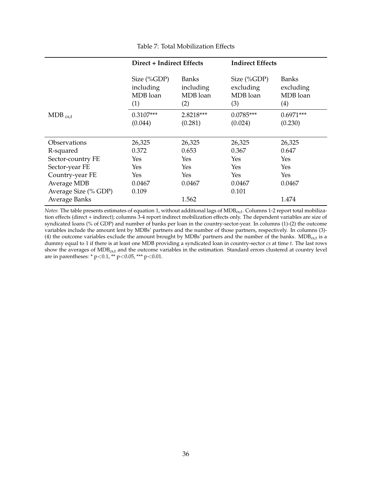<span id="page-36-0"></span>

|                                     | Direct + Indirect Effects                      |                                              | <b>Indirect Effects</b>                        |                                              |
|-------------------------------------|------------------------------------------------|----------------------------------------------|------------------------------------------------|----------------------------------------------|
|                                     | Size $(\%GDP)$<br>including<br>MDB loan<br>(1) | <b>Banks</b><br>including<br>MDB loan<br>(2) | Size $(\%GDP)$<br>excluding<br>MDB loan<br>(3) | <b>Banks</b><br>excluding<br>MDB loan<br>(4) |
| $MDB_{cs,t}$                        | $0.3107***$<br>(0.044)                         | 2.8218***<br>(0.281)                         | $0.0785***$<br>(0.024)                         | $0.6971***$<br>(0.230)                       |
| Observations                        | 26,325                                         | 26,325                                       | 26,325                                         | 26,325                                       |
| R-squared                           | 0.372                                          | 0.653                                        | 0.367                                          | 0.647                                        |
| Sector-country FE                   | Yes                                            | Yes                                          | Yes                                            | Yes                                          |
| Sector-year FE                      | Yes                                            | Yes                                          | Yes                                            | Yes                                          |
| Country-year FE                     | Yes                                            | Yes                                          | Yes                                            | <b>Yes</b>                                   |
| Average MDB<br>Average Size (% GDP) | 0.0467<br>0.109                                | 0.0467                                       | 0.0467<br>0.101                                | 0.0467                                       |
| <b>Average Banks</b>                |                                                | 1.562                                        |                                                | 1.474                                        |

Table 7: Total Mobilization Effects

*Notes*: The table presents estimates of equation [1,](#page-10-0) without additional lags of MDB<sub>cs,t</sub>. Columns 1-2 report total mobilization effects (direct + indirect); columns 3-4 report indirect mobilization effects only. The dependent variables are size of syndicated loans (% of GDP) and number of banks per loan in the country-sector-year. In columns (1)-(2) the outcome variables include the amount lent by MDBs' partners and the number of those partners, respectively. In columns (3)- (4) the outcome variables exclude the amount brought by MDBs' partners and the number of the banks. MDB $_{cst}$  is a dummy equal to 1 if there is at least one MDB providing a syndicated loan in country-sector *cs* at time *t*. The last rows show the averages of MDB<sub>cs,t</sub> and the outcome variables in the estimation. Standard errors clustered at country level are in parentheses: \* p<0.1, \*\* p<0.05, \*\*\* p<0.01.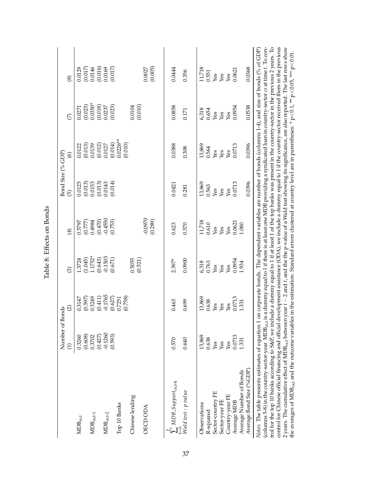|                                                                                                                                                                                                                                                                                                                                                                  | Number of B       | onds              |                    |                   | 3 and Size $(% \mathcal{O}_{A}\rightarrow \mathcal{O}_{A})$ |                        |                         |                                                                                                                |
|------------------------------------------------------------------------------------------------------------------------------------------------------------------------------------------------------------------------------------------------------------------------------------------------------------------------------------------------------------------|-------------------|-------------------|--------------------|-------------------|-------------------------------------------------------------|------------------------|-------------------------|----------------------------------------------------------------------------------------------------------------|
|                                                                                                                                                                                                                                                                                                                                                                  |                   | $\odot$           | $\widehat{\odot}$  | $\widehat{E}$     | $\widehat{\Theta}$                                          | $\circledcirc$         | $\widehat{\mathcal{L}}$ | $\circledS$                                                                                                    |
| $MDB_{cs,t}$                                                                                                                                                                                                                                                                                                                                                     | 0.3260            | 0.3147            | 1.3724             | 0.5797            | 0.0125                                                      | 0.0122                 | 0.0271                  | 0.0129                                                                                                         |
| $\text{MDB}_{\text{cs,t-1}}$                                                                                                                                                                                                                                                                                                                                     | (0.608)<br>0.3702 | 0.3249<br>(0.597) | 1.1752*<br>(1.045) | 0.4984<br>(0.777) | (0.013)<br>0.0153                                           | (0.013)<br>0.0139      | $0.0350*$<br>(0.023)    | 0.0146<br>(0.017)                                                                                              |
|                                                                                                                                                                                                                                                                                                                                                                  | (0.427)           | (0.411)           | (0.643)            | (0.470)           | (0.013)                                                     | (0.012)                | (0.018)                 | (0.016)                                                                                                        |
| $\text{MDB}_{\text{cs,t-2}}$                                                                                                                                                                                                                                                                                                                                     | $-0.1260$         | $-0.1765$         | $-0.1503$          | $-0.4550$         | 0.0143                                                      | 0.0127                 | 0.0237                  | 0.0169                                                                                                         |
|                                                                                                                                                                                                                                                                                                                                                                  | (0.593)           | (0.627)           | (0.671)            | (0.753)           | (0.014)                                                     | (0.014)                | (0.023)                 | (0.017)                                                                                                        |
| Top 10 Banks                                                                                                                                                                                                                                                                                                                                                     |                   | (0.758)<br>0.7251 |                    |                   |                                                             | $0.0226***$<br>(0.010) |                         |                                                                                                                |
| Chinese lending                                                                                                                                                                                                                                                                                                                                                  |                   |                   | 0.5055             |                   |                                                             |                        | 0.0104                  |                                                                                                                |
| <b>OECD ODA</b>                                                                                                                                                                                                                                                                                                                                                  |                   |                   | (0.521)            | $-0.0970$         |                                                             |                        | (0.010)                 | 0.0027                                                                                                         |
|                                                                                                                                                                                                                                                                                                                                                                  |                   |                   |                    | (0.289)           |                                                             |                        |                         | (0.005)                                                                                                        |
| $\sum_{k=0}^{n} MDB\text{-}Support_{\text{cs},k-k}$                                                                                                                                                                                                                                                                                                              | 0.570             | 0.463             | 2.397*             | 0.623             | 0.0421                                                      | 0.0388                 | 0.0858                  | 0.0444                                                                                                         |
| $\sum_{N}^{n=0}$<br>Wald test : p value                                                                                                                                                                                                                                                                                                                          | 0.640             | 0.699             | 0.0900             | 0.570             | 0.281                                                       | 0.308                  | 0.171                   | 0.356                                                                                                          |
| Observations                                                                                                                                                                                                                                                                                                                                                     | 13,869            | 13,869            | 6,318              | 11,718            | 13,869                                                      | 13,869                 | 6,318                   | 11,718                                                                                                         |
| R-squared                                                                                                                                                                                                                                                                                                                                                        | 0.638             | 0.638             | 0.763              | 0.610             | 0.563                                                       | 0.564                  | 0.654                   | 0.551                                                                                                          |
| Sector-country FE                                                                                                                                                                                                                                                                                                                                                | Yes               | Yes               | Yes                | Yes               | Yes                                                         | Yes<br>Yes             | Yes                     | Yes<br>Yes                                                                                                     |
| Sector-year FE                                                                                                                                                                                                                                                                                                                                                   | Yes               | Yes               | Yes                | Yes               | Yes                                                         |                        | Yes                     |                                                                                                                |
| Country-year FE                                                                                                                                                                                                                                                                                                                                                  | Yes               | Yes               | Yes                | Yes               | Yes                                                         | Yes                    | Yes                     | Yes                                                                                                            |
| Average MDB                                                                                                                                                                                                                                                                                                                                                      | 0.0713            | 0.0713            | 0.0954             | 0.0621            | 0.0713                                                      | 0.0713                 | 0.0954                  | 0.0621                                                                                                         |
| Average Number of Bonds                                                                                                                                                                                                                                                                                                                                          | 1.331             | 1331              | 1.934              | 1.080             |                                                             |                        |                         |                                                                                                                |
| Average Bond Size (%GDP)                                                                                                                                                                                                                                                                                                                                         |                   |                   |                    |                   | 0.0396                                                      | 0.0396                 | 0.0538                  | 0.0368                                                                                                         |
| Notes: The table presents estimates of equation 1                                                                                                                                                                                                                                                                                                                |                   |                   |                    |                   |                                                             |                        |                         | on corporate bonds. The dependent variables are number of bonds (columns $1-4$ ), and size of bonds (% of GDP) |
| trol for the top 10 banks according to S&P, we include a dummy equal to 1 if at least 1 of the top banks was present in the country-sector in the previous 2 years. To<br>columns 5-8) in the country-sector-year. MDB <sub>cst</sub> is a dummy equal to 1 if there is at least one MDB providing a syndicated loan in country-sector cs at time t. To con-     |                   |                   |                    |                   |                                                             |                        |                         |                                                                                                                |
| control for Chinese official financing and official development assistance (ODA), we include a dummy equal to 1 if the country-sector received them in the previous                                                                                                                                                                                              |                   |                   |                    |                   |                                                             |                        |                         |                                                                                                                |
| 2 years. The cumulative effect of MDB $_{cs,t}$ between year $t-2$ and $t$ , and the the p-value of a Wald test showing its significance, are also reported. The last rows show<br>the averages of MDB <sub>est</sub> and the outcome variables in the estimation. Standard errors clustered at country level are in parentheses: * p<0.1, ** p<0.05, *** p<0.01 |                   |                   |                    |                   |                                                             |                        |                         |                                                                                                                |
|                                                                                                                                                                                                                                                                                                                                                                  |                   |                   |                    |                   |                                                             |                        |                         |                                                                                                                |

<span id="page-37-0"></span>Table 8: Effects on Bonds

Table 8: Effects on Bonds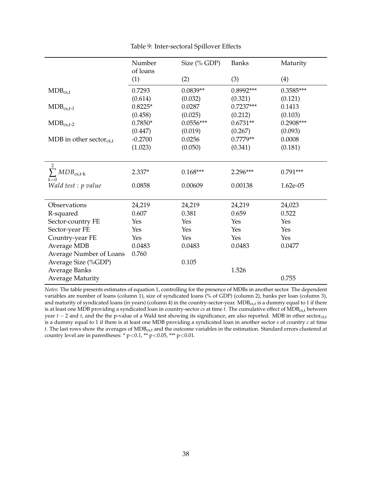<span id="page-38-0"></span>

|                                     | Number<br>of loans | Size $(\%$ GDP) | <b>Banks</b> | Maturity    |
|-------------------------------------|--------------------|-----------------|--------------|-------------|
|                                     | (1)                | (2)             | (3)          | (4)         |
| $MDB_{cs,t}$                        | 0.7293             | $0.0839**$      | 0.8992***    | $0.3585***$ |
|                                     | (0.614)            | (0.032)         | (0.321)      | (0.121)     |
| $MDB_{cs,t-1}$                      | $0.8225*$          | 0.0287          | $0.7237***$  | 0.1413      |
|                                     | (0.458)            | (0.025)         | (0.212)      | (0.103)     |
| $MDB_{cs,t-2}$                      | $0.7850*$          | $0.0556***$     | $0.6731**$   | $0.2908***$ |
|                                     | (0.447)            | (0.019)         | (0.267)      | (0.093)     |
| MDB in other sector <sub>cs,t</sub> | $-0.2700$          | 0.0256          | $0.7779**$   | 0.0008      |
|                                     | (1.023)            | (0.050)         | (0.341)      | (0.181)     |
|                                     |                    |                 |              |             |
| 2                                   |                    |                 |              |             |
| $\sum MDB_{\text{cs,t-k}}$<br>$k=0$ | $2.337*$           | $0.168***$      | $2.296***$   | $0.791***$  |
| Wald test : p value                 | 0.0858             | 0.00609         | 0.00138      | 1.62e-05    |
|                                     |                    |                 |              |             |
| Observations                        | 24,219             | 24,219          | 24,219       | 24,023      |
| R-squared                           | 0.607              | 0.381           | 0.659        | 0.522       |
| Sector-country FE                   | Yes                | Yes             | Yes          | Yes         |
| Sector-year FE                      | Yes                | Yes             | Yes          | Yes         |
| Country-year FE                     | Yes                | Yes             | Yes          | Yes         |
| Average MDB                         | 0.0483             | 0.0483          | 0.0483       | 0.0477      |
| Average Number of Loans             | 0.760              |                 |              |             |
| Average Size (%GDP)                 |                    | 0.105           |              |             |
| <b>Average Banks</b>                |                    |                 | 1.526        |             |
| <b>Average Maturity</b>             |                    |                 |              | 0.755       |

Table 9: Inter-sectoral Spillover Effects

*Notes*: The table presents estimates of equation [1,](#page-10-0) controlling for the presence of MDBs in another sector. The dependent variables are number of loans (column 1), size of syndicated loans (% of GDP) (column 2), banks per loan (column 3), and maturity of syndicated loans (in years) (column 4) in the country-sector-year.  $MDB_{cs,t}$  is a dummy equal to 1 if there is at least one MDB providing a syndicated loan in country-sector *cs* at time *t*. The cumulative effect of MDB<sub>cs,t</sub> between year  $t - 2$  and  $t$ , and the the p-value of a Wald test showing its significance, are also reported. MDB in other sector<sub>cs,t</sub> is a dummy equal to 1 if there is at least one MDB providing a syndicated loan in another sector *s* of country *c* at time *t*. The last rows show the averages of MDB<sub>cs,t</sub> and the outcome variables in the estimation. Standard errors clustered at country level are in parentheses:  $* p < 0.1$ ,  $* p < 0.05$ ,  $** p < 0.01$ .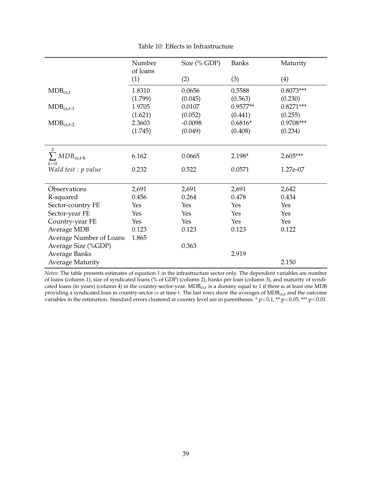<span id="page-39-0"></span>

|                                              | Number   | Size (% GDP) | <b>Banks</b> | Maturity    |
|----------------------------------------------|----------|--------------|--------------|-------------|
|                                              | of loans |              |              |             |
|                                              | (1)      | (2)          | (3)          | (4)         |
| $MDB_{cs,t}$                                 | 1.8310   | 0.0656       | 0.5588       | $0.8073***$ |
|                                              | (1.799)  | (0.045)      | (0.563)      | (0.230)     |
| $MDB_{cs,t-1}$                               | 1.9705   | 0.0107       | $0.9577**$   | $0.8271***$ |
|                                              | (1.621)  | (0.052)      | (0.441)      | (0.255)     |
| $MDB_{cs,t-2}$                               | 2.3603   | $-0.0098$    | $0.6816*$    | 0.9708***   |
|                                              | (1.745)  | (0.049)      | (0.408)      | (0.234)     |
|                                              |          |              |              |             |
| $\overline{2}$<br>$\sum MDB_{\text{cs,t-k}}$ | 6.162    | 0.0665       | 2.198*       | $2.605***$  |
| $k=0$                                        |          |              |              |             |
| Wald test : p value                          | 0.232    | 0.522        | 0.0571       | 1.27e-07    |
|                                              |          |              |              |             |
| Observations                                 | 2,691    | 2,691        | 2,691        | 2,642       |
| R-squared                                    | 0.456    | 0.264        | 0.478        | 0.434       |
| Sector-country FE                            | Yes      | Yes          | Yes          | Yes         |
| Sector-year FE                               | Yes      | Yes          | Yes          | Yes         |
| Country-year FE                              | Yes      | Yes          | Yes          | Yes         |
| Average MDB                                  | 0.123    | 0.123        | 0.123        | 0.122       |
| Average Number of Loans                      | 1.865    |              |              |             |
| Average Size (%GDP)                          |          | 0.363        |              |             |
| <b>Average Banks</b>                         |          |              | 2.919        |             |
| <b>Average Maturity</b>                      |          |              |              | 2.150       |

Table 10: Effects in Infrastructure

*Notes*: The table presents estimates of equation [1](#page-10-0) in the infrastructure sector only. The dependent variables are number of loans (column 1), size of syndicated loans (% of GDP) (column 2), banks per loan (column 3), and maturity of syndicated loans (in years) (column 4) in the country-sector-year.  $MDB_{cs,t}$  is a dummy equal to 1 if there is at least one MDB providing a syndicated loan in country-sector *cs* at time *t*. The last rows show the averages of MDBcs,t and the outcome variables in the estimation. Standard errors clustered at country level are in parentheses: \* p<0.1, \*\* p<0.05, \*\*\* p<0.01.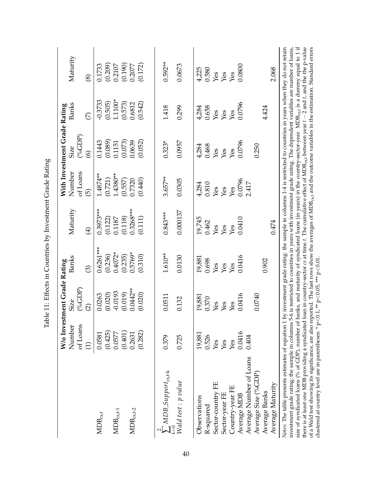<span id="page-40-0"></span>

|                                                                                                                                                                                                                                                                                                                                                                                                                                                                                                                                                                                                                                                | W/o Invest         | tment Grade Rating  |             |             |                    | With Investment Grade Rating |                            |                                                                                                                                                                                                                                                        |
|------------------------------------------------------------------------------------------------------------------------------------------------------------------------------------------------------------------------------------------------------------------------------------------------------------------------------------------------------------------------------------------------------------------------------------------------------------------------------------------------------------------------------------------------------------------------------------------------------------------------------------------------|--------------------|---------------------|-------------|-------------|--------------------|------------------------------|----------------------------|--------------------------------------------------------------------------------------------------------------------------------------------------------------------------------------------------------------------------------------------------------|
|                                                                                                                                                                                                                                                                                                                                                                                                                                                                                                                                                                                                                                                | Number<br>of Loans | $(^o_6GDP)$<br>Size | Banks       | Maturity    | of Loans<br>Number | $(^o_6GDP)$<br><b>Size</b>   | Banks                      | Maturity                                                                                                                                                                                                                                               |
|                                                                                                                                                                                                                                                                                                                                                                                                                                                                                                                                                                                                                                                | $\widehat{\Xi}$    | $\widehat{\Omega}$  | $\odot$     | $\bigoplus$ | 6                  | $\widehat{\odot}$            | $\widehat{\triangleright}$ | $\circledS$                                                                                                                                                                                                                                            |
| $\text{MDB}_{\text{cs,t}}$                                                                                                                                                                                                                                                                                                                                                                                                                                                                                                                                                                                                                     | 0.0581             | 0.0263              | $0.6261***$ | $0.3973***$ | $1.4874**$         | 0.1443                       | $-0.3733$                  | 0.1733                                                                                                                                                                                                                                                 |
|                                                                                                                                                                                                                                                                                                                                                                                                                                                                                                                                                                                                                                                | (0.425)            | (0.020)             | (0.236)     | (0.122)     | (0.721)            | $(0.089)$<br>$0.1151$        | $(0.505)$<br>1.1100*       | $(0.209)$<br>$0.2107$                                                                                                                                                                                                                                  |
| $\text{MDB}_{\text{cs,t-1}}$                                                                                                                                                                                                                                                                                                                                                                                                                                                                                                                                                                                                                   | 0.0577             | $-0.0193$           | $0.4072*$   | 0.1187      | 1.4380**           |                              |                            |                                                                                                                                                                                                                                                        |
|                                                                                                                                                                                                                                                                                                                                                                                                                                                                                                                                                                                                                                                | (0.401)            | (0.019)             | (0.235)     | (0.118)     | (0.557)            | (0.073)                      | (0.573)                    | (0.190)                                                                                                                                                                                                                                                |
| $\text{MDB}_{\text{cs,t-2}}$                                                                                                                                                                                                                                                                                                                                                                                                                                                                                                                                                                                                                   | 0.2631             | $0.0442**$          | $0.5769*$   | 0.3268***   | 0.7320             | 0.0639                       | 0.6812                     | 0.2077                                                                                                                                                                                                                                                 |
|                                                                                                                                                                                                                                                                                                                                                                                                                                                                                                                                                                                                                                                | (0.282)            | (0.020)             | (0.310)     | (0.111)     | (0.440)            | (0.052)                      | (0.542)                    | (0.172)                                                                                                                                                                                                                                                |
|                                                                                                                                                                                                                                                                                                                                                                                                                                                                                                                                                                                                                                                |                    |                     |             |             |                    |                              |                            |                                                                                                                                                                                                                                                        |
| $\sum$ MDB_Support <sub>cs,t-k</sub>                                                                                                                                                                                                                                                                                                                                                                                                                                                                                                                                                                                                           | 0.379              | 0.0511              | $1.610**$   | $0.843***$  | $3.657**$          | $0.323*$                     | 1.418                      | $0.592**$                                                                                                                                                                                                                                              |
| $\frac{d}{d}$ is the state point $\frac{d}{d}$                                                                                                                                                                                                                                                                                                                                                                                                                                                                                                                                                                                                 | 0.725              | 0.132               | 0.0130      | 0.000137    | 0.0305             | 0.0957                       | 0.299                      | 0.0673                                                                                                                                                                                                                                                 |
|                                                                                                                                                                                                                                                                                                                                                                                                                                                                                                                                                                                                                                                |                    |                     |             |             |                    |                              |                            |                                                                                                                                                                                                                                                        |
| Observations                                                                                                                                                                                                                                                                                                                                                                                                                                                                                                                                                                                                                                   | 19,881             | 19,881              | 19,881      | 19,745      |                    |                              | 4,284                      | 4,225                                                                                                                                                                                                                                                  |
| R-squared                                                                                                                                                                                                                                                                                                                                                                                                                                                                                                                                                                                                                                      | 0.526              | 0.370               | 0.698       | 0.462       | 4,284<br>0.810     | $\frac{4,284}{0.468}$<br>Yes | $\frac{0.658}{\text{Yes}}$ | 0.580                                                                                                                                                                                                                                                  |
| Sector-country FE                                                                                                                                                                                                                                                                                                                                                                                                                                                                                                                                                                                                                              | Yes                | Yes                 | Yes         | Yes         | Yes                |                              |                            | Yes<br>Yes                                                                                                                                                                                                                                             |
| Sector-year FE                                                                                                                                                                                                                                                                                                                                                                                                                                                                                                                                                                                                                                 | Yes                | Yes                 | Yes         | Yes         | Yes                |                              | $\chi_{\text{eS}}$         |                                                                                                                                                                                                                                                        |
| Country-year FE                                                                                                                                                                                                                                                                                                                                                                                                                                                                                                                                                                                                                                | Yes                | Yes                 | Yes         | Yes         | Yes                | $\chi_{\text{ES}}$           | Yes                        | Yes                                                                                                                                                                                                                                                    |
| Average MDB                                                                                                                                                                                                                                                                                                                                                                                                                                                                                                                                                                                                                                    | 0.0416             | 0.0416              | 0.0416      | 0.0410      | 0.0796             | 0.0796                       | 0.0796                     | 0.0800                                                                                                                                                                                                                                                 |
| Average Number of Loans                                                                                                                                                                                                                                                                                                                                                                                                                                                                                                                                                                                                                        | 0.404              |                     |             |             | 2.417              |                              |                            |                                                                                                                                                                                                                                                        |
| Average Size (%GDP)                                                                                                                                                                                                                                                                                                                                                                                                                                                                                                                                                                                                                            |                    | 0.0740              |             |             |                    | 0.250                        |                            |                                                                                                                                                                                                                                                        |
| Average Banks                                                                                                                                                                                                                                                                                                                                                                                                                                                                                                                                                                                                                                  |                    |                     | 0.902       |             |                    |                              | 4.424                      |                                                                                                                                                                                                                                                        |
| Average Maturity                                                                                                                                                                                                                                                                                                                                                                                                                                                                                                                                                                                                                               |                    |                     |             | 0.474       |                    |                              |                            | 2.068                                                                                                                                                                                                                                                  |
| Notes: The table presents estimates of equation 1 by investment grade rating; the sample in columns 1-4 is restricted to countries in years when they do not retain<br>size of syndicated loans (% of GDP), number of banks, and maturity of syndicated loans (in years) in the country-sector-year. MDB <sub>cs,t</sub> is a dummy equal to 1 if<br>of a Wald test showing its significance, are also reported. The last rows show the averages of MDB <sub>cst</sub> and the outcome variables in the estimation. Standard errors<br>investment grade rating; the sample in columns 5-<br>there is at least one MDB providing a syndicated 1 |                    |                     |             |             |                    |                              |                            | loan in country-sector cs at time t. The cumulative effect of MDB <sub>cs,t</sub> between year $t-2$ and $t$ , and the the p-value<br>6 is restricted to countries in years with investment grade rating. The dependent variables are number of loans, |
| clustered at country level are in parentheses: $*$ p<0.1, $**$ p<0.05, $***$ p<0.01                                                                                                                                                                                                                                                                                                                                                                                                                                                                                                                                                            |                    |                     |             |             |                    |                              |                            |                                                                                                                                                                                                                                                        |

Table 11: Effects in Countries by Investment Grade Rating Table 11: Effects in Countries by Investment Grade Rating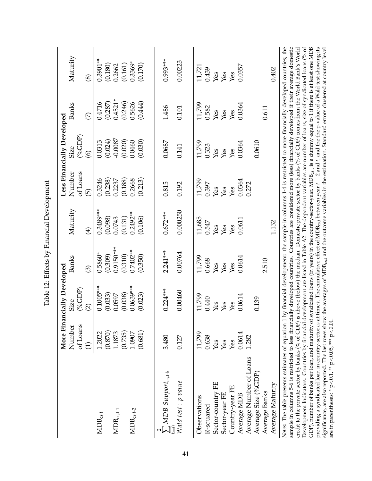|                                                                                                                                                                                                                                                                                                                                                                                                                                                                                                                                                                                                                                                                                                                                                                                                                                                                                                                                                                                                                                                                                                                    |                    | More Financially Developed |             |             |                    | Less Financially Developed    |                         |                                                                                                                |
|--------------------------------------------------------------------------------------------------------------------------------------------------------------------------------------------------------------------------------------------------------------------------------------------------------------------------------------------------------------------------------------------------------------------------------------------------------------------------------------------------------------------------------------------------------------------------------------------------------------------------------------------------------------------------------------------------------------------------------------------------------------------------------------------------------------------------------------------------------------------------------------------------------------------------------------------------------------------------------------------------------------------------------------------------------------------------------------------------------------------|--------------------|----------------------------|-------------|-------------|--------------------|-------------------------------|-------------------------|----------------------------------------------------------------------------------------------------------------|
|                                                                                                                                                                                                                                                                                                                                                                                                                                                                                                                                                                                                                                                                                                                                                                                                                                                                                                                                                                                                                                                                                                                    | Number<br>of Loans | $(^o_6GDP)$<br>Size        | Banks       | Maturity    | of Loans<br>Number | <b>Size</b>                   | Banks                   | Maturity                                                                                                       |
|                                                                                                                                                                                                                                                                                                                                                                                                                                                                                                                                                                                                                                                                                                                                                                                                                                                                                                                                                                                                                                                                                                                    | $\ominus$          | $\widehat{\infty}$         | $\odot$     | $\bigoplus$ | $\widehat{\Theta}$ | $(^o_6GDP)$<br>$\circledcirc$ | $\widehat{\mathcal{C}}$ | $\circledast$                                                                                                  |
| $MDB_{cs,t}$                                                                                                                                                                                                                                                                                                                                                                                                                                                                                                                                                                                                                                                                                                                                                                                                                                                                                                                                                                                                                                                                                                       | 1.2022             | $0.1005***$                | $0.5860*$   | 0.3489***   | 0.3246             | 0.0313                        | 0.4716                  | $0.3901**$                                                                                                     |
|                                                                                                                                                                                                                                                                                                                                                                                                                                                                                                                                                                                                                                                                                                                                                                                                                                                                                                                                                                                                                                                                                                                    | (0.870)            | (0.033)                    | (0.309)     | (0.098)     | (0.238)            | (0.024)                       | (0.287)                 | (0.180)                                                                                                        |
| $MDB_{cs,t-1}$                                                                                                                                                                                                                                                                                                                                                                                                                                                                                                                                                                                                                                                                                                                                                                                                                                                                                                                                                                                                                                                                                                     | 1.1873             | 0.0597                     | $0.9150***$ | 0.0743      | 0.2237             | $-0.0087$                     | $0.4521*$               | 0.2662                                                                                                         |
|                                                                                                                                                                                                                                                                                                                                                                                                                                                                                                                                                                                                                                                                                                                                                                                                                                                                                                                                                                                                                                                                                                                    | (0.735)            | (0.038)                    | (0.310)     | (0.131)     | (0.188)            | (0.020)                       | (0.246)                 | (0.161)                                                                                                        |
| $\text{MDB}_{\text{cs,t-2}}$                                                                                                                                                                                                                                                                                                                                                                                                                                                                                                                                                                                                                                                                                                                                                                                                                                                                                                                                                                                                                                                                                       | 1.0907             | $0.0639***$                | $0.7402**$  | $0.2492**$  | 0.2668             | 0.0460                        | 0.5626                  | $0.3369*$                                                                                                      |
|                                                                                                                                                                                                                                                                                                                                                                                                                                                                                                                                                                                                                                                                                                                                                                                                                                                                                                                                                                                                                                                                                                                    | (0.681)            | (0.023)                    | (0.350)     | (0.106)     | (0.213)            | (0.030)                       | (0.444)                 | (0.170)                                                                                                        |
|                                                                                                                                                                                                                                                                                                                                                                                                                                                                                                                                                                                                                                                                                                                                                                                                                                                                                                                                                                                                                                                                                                                    |                    |                            |             |             |                    |                               |                         |                                                                                                                |
| $\sum$ MDB Support <sub>cs,t-k</sub>                                                                                                                                                                                                                                                                                                                                                                                                                                                                                                                                                                                                                                                                                                                                                                                                                                                                                                                                                                                                                                                                               | 3.480              | $0.224***$                 | $2.241***$  | $0.672***$  | 0.815              | 0.0687                        | 1.486                   | $0.993***$                                                                                                     |
| $\stackrel{\text{\tiny def}}{\text{\tiny \textsf{Wall}}}$ test : p value                                                                                                                                                                                                                                                                                                                                                                                                                                                                                                                                                                                                                                                                                                                                                                                                                                                                                                                                                                                                                                           | 0.127              | 0.00460                    | 0.00764     | 0.000250    | 0.192              | 0.141                         | 0.101                   | 0.00223                                                                                                        |
|                                                                                                                                                                                                                                                                                                                                                                                                                                                                                                                                                                                                                                                                                                                                                                                                                                                                                                                                                                                                                                                                                                                    |                    |                            |             |             |                    |                               |                         |                                                                                                                |
| Observations                                                                                                                                                                                                                                                                                                                                                                                                                                                                                                                                                                                                                                                                                                                                                                                                                                                                                                                                                                                                                                                                                                       | 11,799             | 11,799                     | 11,799      | 11,685      | 11,799             | 11,799                        | 11,799                  | 11,721                                                                                                         |
| R-squared                                                                                                                                                                                                                                                                                                                                                                                                                                                                                                                                                                                                                                                                                                                                                                                                                                                                                                                                                                                                                                                                                                          | 0.638              | 0.440                      | 0.668       | 0.547       | 0.397              | 0.323                         | 0.582                   | 0.439                                                                                                          |
| Sector-country FE                                                                                                                                                                                                                                                                                                                                                                                                                                                                                                                                                                                                                                                                                                                                                                                                                                                                                                                                                                                                                                                                                                  | Yes                | Yes                        | Yes         | Yes         | Yes                | Yes                           | Yes                     | Yes                                                                                                            |
| Sector-year FE                                                                                                                                                                                                                                                                                                                                                                                                                                                                                                                                                                                                                                                                                                                                                                                                                                                                                                                                                                                                                                                                                                     | Yes                | Yes                        | Yes         | Yes         | Yes                | Yes                           | Yes                     | Yes                                                                                                            |
| Country-year FE                                                                                                                                                                                                                                                                                                                                                                                                                                                                                                                                                                                                                                                                                                                                                                                                                                                                                                                                                                                                                                                                                                    | Yes                | Yes                        | Yes         | Yes         | Yes                | Yes                           | Yes                     | Yes                                                                                                            |
| Average MDB                                                                                                                                                                                                                                                                                                                                                                                                                                                                                                                                                                                                                                                                                                                                                                                                                                                                                                                                                                                                                                                                                                        | 0.0614             | 0.0614                     | 0.0614      | 0.0611      | 0.0364             | 0.0364                        | 0.0364                  | 0.0357                                                                                                         |
| Average Number of Loans                                                                                                                                                                                                                                                                                                                                                                                                                                                                                                                                                                                                                                                                                                                                                                                                                                                                                                                                                                                                                                                                                            | 1.282              |                            |             |             | 0.272              |                               |                         |                                                                                                                |
| Average Size (%GDP)                                                                                                                                                                                                                                                                                                                                                                                                                                                                                                                                                                                                                                                                                                                                                                                                                                                                                                                                                                                                                                                                                                |                    | 0.139                      |             |             |                    | 0.0610                        |                         |                                                                                                                |
| Average Banks                                                                                                                                                                                                                                                                                                                                                                                                                                                                                                                                                                                                                                                                                                                                                                                                                                                                                                                                                                                                                                                                                                      |                    |                            | 2.510       |             |                    |                               | 0.611                   |                                                                                                                |
| Average Maturity                                                                                                                                                                                                                                                                                                                                                                                                                                                                                                                                                                                                                                                                                                                                                                                                                                                                                                                                                                                                                                                                                                   |                    |                            |             | 1.132       |                    |                               |                         | 0.402                                                                                                          |
| Development Indicators. Countries by financial development are listed in Table A2. The dependent variables are number of loans, size of syndicated loans (% of<br>sample in columns 5-6 is restricted to less financially developed countries. Countries are considered more (less) financially developed if their average domestic<br>GDP), number of banks per loan, and maturity of syndicated loans (in years) in the country-sector-year. MDB <sub>6st</sub> is a dummy equal to 1 if there is at least one MDB<br>providing a syndicated loan in country-sector $cs$ at time $t$ . The cumulative effect of MDB $_{cs,t}$ between year $t-2$ and $t$ , and the the p-value of a Wald test showing its<br>credit to the private sector by banks (% of GDP) is above (below) the median. Domestic private sector by banks (% of GDP) comes from the World Bank's World<br>significance, are also reported. The last rows show the averages of MDB <sub>cs,t</sub> and the outcome variables in the estimation. Standard errors clustered at country level<br>Notes: The table presents estimates of equation 1 |                    |                            |             |             |                    |                               |                         | by financial development: the sample in columns 1-4 is restricted to more financially developed countries; the |
| are in parentheses: * p<0.1, ** p<0.05, *** p<0.01.                                                                                                                                                                                                                                                                                                                                                                                                                                                                                                                                                                                                                                                                                                                                                                                                                                                                                                                                                                                                                                                                |                    |                            |             |             |                    |                               |                         |                                                                                                                |

<span id="page-41-0"></span>Table 12: Effects by Financial Development Table 12: Effects by Financial Development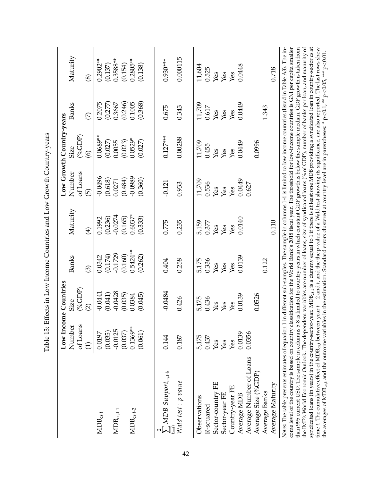|                                                                                                                                                                                                                                                                                                                                                                                                                                                                                                                                                                                                                                                                                                                                             |                       | Low Income Countries          |                         |                               |                                      | Low Growth Country-years |                         |                                                                                                                                            |
|---------------------------------------------------------------------------------------------------------------------------------------------------------------------------------------------------------------------------------------------------------------------------------------------------------------------------------------------------------------------------------------------------------------------------------------------------------------------------------------------------------------------------------------------------------------------------------------------------------------------------------------------------------------------------------------------------------------------------------------------|-----------------------|-------------------------------|-------------------------|-------------------------------|--------------------------------------|--------------------------|-------------------------|--------------------------------------------------------------------------------------------------------------------------------------------|
|                                                                                                                                                                                                                                                                                                                                                                                                                                                                                                                                                                                                                                                                                                                                             | of Loans<br>Number    | $(^o_6GDP)$<br>Size           | Banks                   | Maturity                      | of Loans<br>Number                   | $(^o_6GDP)$<br>Size      | Banks                   | Maturity                                                                                                                                   |
|                                                                                                                                                                                                                                                                                                                                                                                                                                                                                                                                                                                                                                                                                                                                             | $\bigoplus$           | $\widehat{\Omega}$            | ම                       | $\bigoplus$                   | $\widehat{\Theta}$                   | $\odot$                  | $\widehat{\mathcal{C}}$ | $\circledS$                                                                                                                                |
| $MDB_{cs,t}$                                                                                                                                                                                                                                                                                                                                                                                                                                                                                                                                                                                                                                                                                                                                | 0.0197                | $-0.0441$                     | 0.0342                  | 0.1992                        | -0.0496                              | $0.0689**$               |                         | $0.2902**$                                                                                                                                 |
|                                                                                                                                                                                                                                                                                                                                                                                                                                                                                                                                                                                                                                                                                                                                             | (0.035)               | (0.041)                       | (0.174)                 | (0.236)                       | (0.618)                              | (0.027)                  | $0.2075$<br>$(0.277)$   | (0.137)                                                                                                                                    |
| $\text{MDB}_{\text{cs,t-1}}$                                                                                                                                                                                                                                                                                                                                                                                                                                                                                                                                                                                                                                                                                                                | $-0.0125$             | $-0.0428$                     | $-0.1729$               | $-0.0274$                     | 0.0271                               | 0.0055                   | 0.3667                  | $0.3588**$                                                                                                                                 |
|                                                                                                                                                                                                                                                                                                                                                                                                                                                                                                                                                                                                                                                                                                                                             | (0.037)               | $(0.035)$<br>$0.0384$         | $(0.160)$<br>$0.5424**$ | $(0.165)$<br>0.6037*          | $(0.484)$<br>0.0989                  | $(0.023)$<br>$0.0529*$   | $(0.246)$<br>$0.1005$   | $(0.154)$<br>0.2805**                                                                                                                      |
| $\text{MDB}_{\text{cs,t-2}}$                                                                                                                                                                                                                                                                                                                                                                                                                                                                                                                                                                                                                                                                                                                | $0.1369**$<br>(0.061) | (0.045)                       | (0.262)                 | (0.333)                       | (0.360)                              | (0.027)                  | (0.368)                 | (0.138)                                                                                                                                    |
|                                                                                                                                                                                                                                                                                                                                                                                                                                                                                                                                                                                                                                                                                                                                             |                       |                               |                         |                               |                                      |                          |                         |                                                                                                                                            |
| $\sum_{k=1}^{n} MDB\_Support_{cs,t-k}$                                                                                                                                                                                                                                                                                                                                                                                                                                                                                                                                                                                                                                                                                                      | 0.144                 | $-0.0484$                     | 0.404                   | 0.775                         | $-0.121$                             | $0.127***$               | 0.675                   | $0.930***$                                                                                                                                 |
| $\frac{c=0}{Wald}$ test : p value                                                                                                                                                                                                                                                                                                                                                                                                                                                                                                                                                                                                                                                                                                           | 0.187                 | 0.426                         | 0.258                   | 0.235                         | 0.933                                | 0.00288                  | 0.343                   | 0.000115                                                                                                                                   |
| Observations                                                                                                                                                                                                                                                                                                                                                                                                                                                                                                                                                                                                                                                                                                                                | 5,175                 | 5,175                         | 5,175                   |                               |                                      | 11,709                   | 11,709                  |                                                                                                                                            |
| R-squared                                                                                                                                                                                                                                                                                                                                                                                                                                                                                                                                                                                                                                                                                                                                   | 0.437                 | 0.436                         | 0.336                   | 5,159<br>0.377                |                                      | 0.455                    | 0.617                   | 11,604<br>0.525                                                                                                                            |
| Sector-country FE                                                                                                                                                                                                                                                                                                                                                                                                                                                                                                                                                                                                                                                                                                                           | Yes                   | $\operatorname{\mathsf{Yes}}$ | $\chi_{\rm{es}}$        | $\mathbf{\hat{Y}}$ es         | 11,709<br>0.536<br>Yes<br>Yes<br>Yes | Yes                      | Yes                     | Yes<br>Yes                                                                                                                                 |
| Sector-year FE                                                                                                                                                                                                                                                                                                                                                                                                                                                                                                                                                                                                                                                                                                                              | Yes                   | Yes                           | Yes                     | Yes                           |                                      | Yes                      | Yes                     |                                                                                                                                            |
| Country-year FE                                                                                                                                                                                                                                                                                                                                                                                                                                                                                                                                                                                                                                                                                                                             | Yes                   | Yes                           | Yes                     | $\operatorname{\mathsf{Yes}}$ |                                      | Yes                      | Yes                     | $\chi_{\text{ES}}$                                                                                                                         |
| Average MDB                                                                                                                                                                                                                                                                                                                                                                                                                                                                                                                                                                                                                                                                                                                                 | 0.0139                | 0.0139                        | 0.0139                  | 0.0140                        | 0.0449                               | 0.0449                   | 0.0449                  | 0.0448                                                                                                                                     |
| Average Number of Loans                                                                                                                                                                                                                                                                                                                                                                                                                                                                                                                                                                                                                                                                                                                     | 0.0356                |                               |                         |                               | 0.627                                |                          |                         |                                                                                                                                            |
| Average Size (%GDP)                                                                                                                                                                                                                                                                                                                                                                                                                                                                                                                                                                                                                                                                                                                         |                       | 0.0526                        |                         |                               |                                      | 0.0996                   |                         |                                                                                                                                            |
| Average Banks                                                                                                                                                                                                                                                                                                                                                                                                                                                                                                                                                                                                                                                                                                                               |                       |                               | 0.122                   |                               |                                      |                          | 1.343                   |                                                                                                                                            |
| Average Maturity                                                                                                                                                                                                                                                                                                                                                                                                                                                                                                                                                                                                                                                                                                                            |                       |                               |                         | 0.110                         |                                      |                          |                         | 0.718                                                                                                                                      |
| the IMF's World Economic Outlook. The dependent variables are number of loans, size of syndicated loans (% of GDP), number of banks per loan, and maturity of<br>syndicated loans (in years) in the country-sector-year. MDB $_{cs,t}$ is a dummy equal to 1 if there is at least one MDB providing a syndicated loan in country-sector cs at<br>than 995 current USD. The sample in columns 5-8 is limited to country-years in which constant GDP growth is below the sample median. GDP growth is taken from<br>come level of the country is based on country classification for the World Bank's 2018 fiscal year. The threshold for low-income countries is GNI per capita smaller<br>Notes: The table presents estimates of equation 1 |                       |                               |                         |                               |                                      |                          |                         | n different sub-samples. The sample in columns 1-4 is limited to low income countries (listed in Table A3). The in-                        |
| time t. The cumulative effect of MDB <sub>cs,t</sub> between<br>$\sum_{n=1}^{n}$                                                                                                                                                                                                                                                                                                                                                                                                                                                                                                                                                                                                                                                            | F                     |                               |                         |                               |                                      |                          | <b>AN</b>               | year $t-2$ and $t$ , and the the p-value of a Wald test showing its significance, are also reported. The last rows show<br>č<br><b>AAA</b> |

the averages of MDB $_{\rm cs,t}$  and the outcome variables in the estimation. Standard errors clustered at country level are in parentheses: \* p

 $<$  0.1,  $*$  p

 $<$  0.05, \*\*\* p

 $< 0.01$ .

<span id="page-42-0"></span>Table 13: Effects in Low Income Countries and Low Growth Country-years Table 13: Effects in Low Income Countries and Low Growth Country-years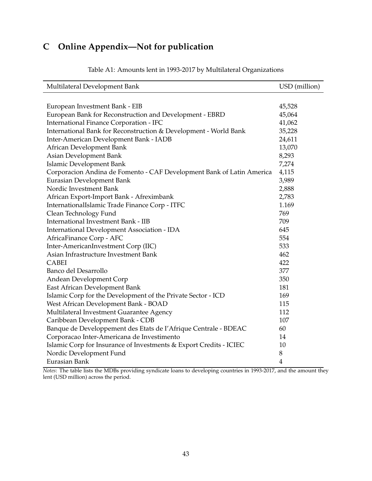# <span id="page-43-0"></span>**C Online Appendix—Not for publication**

<span id="page-43-1"></span>

| Multilateral Development Bank                                         | USD (million)  |
|-----------------------------------------------------------------------|----------------|
|                                                                       |                |
| European Investment Bank - EIB                                        | 45,528         |
| European Bank for Reconstruction and Development - EBRD               | 45,064         |
| International Finance Corporation - IFC                               | 41,062         |
| International Bank for Reconstruction & Development - World Bank      | 35,228         |
| Inter-American Development Bank - IADB                                | 24,611         |
| African Development Bank                                              | 13,070         |
| Asian Development Bank                                                | 8,293          |
| Islamic Development Bank                                              | 7,274          |
| Corporacion Andina de Fomento - CAF Development Bank of Latin America | 4,115          |
| Eurasian Development Bank                                             | 3,989          |
| Nordic Investment Bank                                                | 2,888          |
| African Export-Import Bank - Afreximbank                              | 2,783          |
| InternationalIslamic Trade Finance Corp - ITFC                        | 1.169          |
| Clean Technology Fund                                                 | 769            |
| International Investment Bank - IIB                                   | 709            |
| International Development Association - IDA                           | 645            |
| AfricaFinance Corp - AFC                                              | 554            |
| Inter-AmericanInvestment Corp (IIC)                                   | 533            |
| Asian Infrastructure Investment Bank                                  | 462            |
| <b>CABEI</b>                                                          | 422            |
| Banco del Desarrollo                                                  | 377            |
| Andean Development Corp                                               | 350            |
| East African Development Bank                                         | 181            |
| Islamic Corp for the Development of the Private Sector - ICD          | 169            |
| West African Development Bank - BOAD                                  | 115            |
| Multilateral Investment Guarantee Agency                              | 112            |
| Caribbean Development Bank - CDB                                      | 107            |
| Banque de Developpement des Etats de l'Afrique Centrale - BDEAC       | 60             |
| Corporacao Inter-Americana de Investimento                            | 14             |
| Islamic Corp for Insurance of Investments & Export Credits - ICIEC    | 10             |
| Nordic Development Fund                                               | 8              |
| Eurasian Bank                                                         | $\overline{4}$ |

Table A1: Amounts lent in 1993-2017 by Multilateral Organizations

*Notes*: The table lists the MDBs providing syndicate loans to developing countries in 1993-2017, and the amount they lent (USD million) across the period.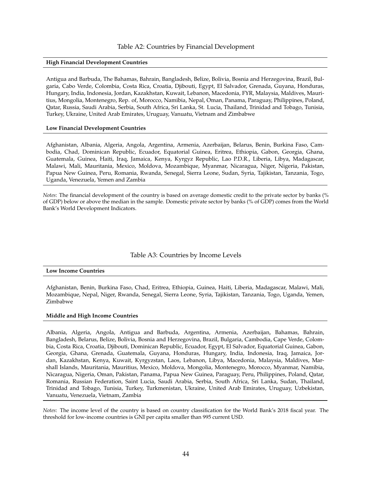#### Table A2: Countries by Financial Development

#### <span id="page-44-0"></span>**High Financial Development Countries**

Antigua and Barbuda, The Bahamas, Bahrain, Bangladesh, Belize, Bolivia, Bosnia and Herzegovina, Brazil, Bulgaria, Cabo Verde, Colombia, Costa Rica, Croatia, Djibouti, Egypt, El Salvador, Grenada, Guyana, Honduras, Hungary, India, Indonesia, Jordan, Kazakhstan, Kuwait, Lebanon, Macedonia, FYR, Malaysia, Maldives, Mauritius, Mongolia, Montenegro, Rep. of, Morocco, Namibia, Nepal, Oman, Panama, Paraguay, Philippines, Poland, Qatar, Russia, Saudi Arabia, Serbia, South Africa, Sri Lanka, St. Lucia, Thailand, Trinidad and Tobago, Tunisia, Turkey, Ukraine, United Arab Emirates, Uruguay, Vanuatu, Vietnam and Zimbabwe

#### **Low Financial Development Countries**

Afghanistan, Albania, Algeria, Angola, Argentina, Armenia, Azerbaijan, Belarus, Benin, Burkina Faso, Cambodia, Chad, Dominican Republic, Ecuador, Equatorial Guinea, Eritrea, Ethiopia, Gabon, Georgia, Ghana, Guatemala, Guinea, Haiti, Iraq, Jamaica, Kenya, Kyrgyz Republic, Lao P.D.R., Liberia, Libya, Madagascar, Malawi, Mali, Mauritania, Mexico, Moldova, Mozambique, Myanmar, Nicaragua, Niger, Nigeria, Pakistan, Papua New Guinea, Peru, Romania, Rwanda, Senegal, Sierra Leone, Sudan, Syria, Tajikistan, Tanzania, Togo, Uganda, Venezuela, Yemen and Zambia

*Notes*: The financial development of the country is based on average domestic credit to the private sector by banks (% of GDP) below or above the median in the sample. Domestic private sector by banks (% of GDP) comes from the World Bank's World Development Indicators.

#### Table A3: Countries by Income Levels

#### <span id="page-44-1"></span>**Low Income Countries**

Afghanistan, Benin, Burkina Faso, Chad, Eritrea, Ethiopia, Guinea, Haiti, Liberia, Madagascar, Malawi, Mali, Mozambique, Nepal, Niger, Rwanda, Senegal, Sierra Leone, Syria, Tajikistan, Tanzania, Togo, Uganda, Yemen, Zimbabwe

#### **Middle and High Income Countries**

Albania, Algeria, Angola, Antigua and Barbuda, Argentina, Armenia, Azerbaijan, Bahamas, Bahrain, Bangladesh, Belarus, Belize, Bolivia, Bosnia and Herzegovina, Brazil, Bulgaria, Cambodia, Cape Verde, Colombia, Costa Rica, Croatia, Djibouti, Dominican Republic, Ecuador, Egypt, El Salvador, Equatorial Guinea, Gabon, Georgia, Ghana, Grenada, Guatemala, Guyana, Honduras, Hungary, India, Indonesia, Iraq, Jamaica, Jordan, Kazakhstan, Kenya, Kuwait, Kyrgyzstan, Laos, Lebanon, Libya, Macedonia, Malaysia, Maldives, Marshall Islands, Mauritania, Mauritius, Mexico, Moldova, Mongolia, Montenegro, Morocco, Myanmar, Namibia, Nicaragua, Nigeria, Oman, Pakistan, Panama, Papua New Guinea, Paraguay, Peru, Philippines, Poland, Qatar, Romania, Russian Federation, Saint Lucia, Saudi Arabia, Serbia, South Africa, Sri Lanka, Sudan, Thailand, Trinidad and Tobago, Tunisia, Turkey, Turkmenistan, Ukraine, United Arab Emirates, Uruguay, Uzbekistan, Vanuatu, Venezuela, Vietnam, Zambia

*Notes*: The income level of the country is based on country classification for the World Bank's 2018 fiscal year. The threshold for low-income countries is GNI per capita smaller than 995 current USD.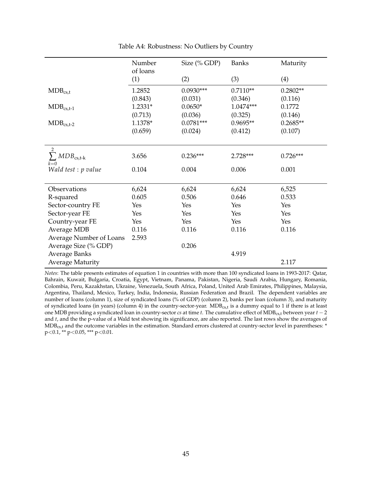<span id="page-45-0"></span>

|                                                       | Number          | Size (% GDP) | <b>Banks</b> | Maturity   |
|-------------------------------------------------------|-----------------|--------------|--------------|------------|
|                                                       | of loans<br>(1) | (2)          | (3)          | (4)        |
| $MDB_{cs,t}$                                          | 1.2852          | $0.0930***$  | $0.7110**$   | $0.2802**$ |
|                                                       | (0.843)         | (0.031)      | (0.346)      | (0.116)    |
| $MDB_{cs,t-1}$                                        | 1.2331*         | $0.0650*$    | $1.0474***$  | 0.1772     |
|                                                       | (0.713)         | (0.036)      | (0.325)      | (0.146)    |
| $MDB_{cs,t-2}$                                        | 1.1378*         | $0.0781***$  | $0.9695**$   | $0.2685**$ |
|                                                       | (0.659)         | (0.024)      | (0.412)      | (0.107)    |
|                                                       |                 |              |              |            |
| $\overline{2}$<br>$\sum MDB_{\text{cs,t-k}}$<br>$k=0$ | 3.656           | $0.236***$   | 2.728***     | $0.726***$ |
| Wald test : p value                                   | 0.104           | 0.004        | 0.006        | 0.001      |
| Observations                                          | 6,624           | 6,624        | 6,624        | 6,525      |
| R-squared                                             | 0.605           | 0.506        | 0.646        | 0.533      |
| Sector-country FE                                     | Yes             | Yes          | Yes          | Yes        |
| Sector-year FE                                        | Yes             | Yes          | Yes          | Yes        |
| Country-year FE                                       | Yes             | Yes          | Yes          | Yes        |
| <b>Average MDB</b>                                    | 0.116           | 0.116        | 0.116        | 0.116      |
| Average Number of Loans                               | 2.593           |              |              |            |
| Average Size (% GDP)                                  |                 | 0.206        |              |            |
| <b>Average Banks</b>                                  |                 |              | 4.919        |            |
| <b>Average Maturity</b>                               |                 |              |              | 2.117      |

Table A4: Robustness: No Outliers by Country

*Notes*: The table presents estimates of equation [1](#page-10-0) in countries with more than 100 syndicated loans in 1993-2017: Qatar, Bahrain, Kuwait, Bulgaria, Croatia, Egypt, Vietnam, Panama, Pakistan, Nigeria, Saudi Arabia, Hungary, Romania, Colombia, Peru, Kazakhstan, Ukraine, Venezuela, South Africa, Poland, United Arab Emirates, Philippines, Malaysia, Argentina, Thailand, Mexico, Turkey, India, Indonesia, Russian Federation and Brazil. The dependent variables are number of loans (column 1), size of syndicated loans (% of GDP) (column 2), banks per loan (column 3), and maturity of syndicated loans (in years) (column 4) in the country-sector-year. MDB<sub>cs,t</sub> is a dummy equal to 1 if there is at least one MDB providing a syndicated loan in country-sector *cs* at time *t*. The cumulative effect of MDBcs,t between year *t* − 2 and *t*, and the the p-value of a Wald test showing its significance, are also reported. The last rows show the averages of MDB<sub>cs,t</sub> and the outcome variables in the estimation. Standard errors clustered at country-sector level in parentheses: \* p<0.1, \*\* p<0.05, \*\*\* p<0.01.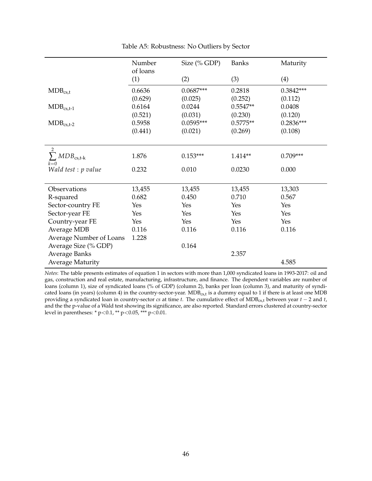<span id="page-46-0"></span>

|                                       | Number<br>of loans | Size (% GDP) | <b>Banks</b> | Maturity    |
|---------------------------------------|--------------------|--------------|--------------|-------------|
|                                       | (1)                | (2)          | (3)          | (4)         |
| $MDB_{cs,t}$                          | 0.6636             | $0.0687***$  | 0.2818       | $0.3842***$ |
|                                       | (0.629)            | (0.025)      | (0.252)      | (0.112)     |
| $MDB_{cs,t-1}$                        | 0.6164             | 0.0244       | $0.5547**$   | 0.0408      |
|                                       | (0.521)            | (0.031)      | (0.230)      | (0.120)     |
| $MDB_{cs,t-2}$                        | 0.5958             | $0.0595***$  | $0.5775**$   | $0.2836***$ |
|                                       | (0.441)            | (0.021)      | (0.269)      | (0.108)     |
|                                       |                    |              |              |             |
| $\overline{2}$<br>$\sum MDB_{cs,t-k}$ | 1.876              | $0.153***$   | 1.414**      | $0.709***$  |
| $k=0$<br>Wald test : p value          | 0.232              | 0.010        | 0.0230       | 0.000       |
| Observations                          | 13,455             | 13,455       | 13,455       | 13,303      |
| R-squared                             | 0.682              | 0.450        | 0.710        | 0.567       |
| Sector-country FE                     | Yes                | Yes          | Yes          | Yes         |
| Sector-year FE                        | Yes                | Yes          | Yes          | Yes         |
| Country-year FE                       | Yes                | Yes          | Yes          | Yes         |
| <b>Average MDB</b>                    | 0.116              | 0.116        | 0.116        | 0.116       |
| Average Number of Loans               | 1.228              |              |              |             |
| Average Size (% GDP)                  |                    | 0.164        |              |             |
| Average Banks                         |                    |              | 2.357        |             |
| <b>Average Maturity</b>               |                    |              |              | 4.585       |

Table A5: Robustness: No Outliers by Sector

*Notes*: The table presents estimates of equation [1](#page-10-0) in sectors with more than 1,000 syndicated loans in 1993-2017: oil and gas, construction and real estate, manufacturing, infrastructure, and finance. The dependent variables are number of loans (column 1), size of syndicated loans (% of GDP) (column 2), banks per loan (column 3), and maturity of syndicated loans (in years) (column 4) in the country-sector-year.  $MDB_{cs,t}$  is a dummy equal to 1 if there is at least one  $MDB$ providing a syndicated loan in country-sector *cs* at time *t*. The cumulative effect of MDBcs,t between year *t* − 2 and *t*, and the the p-value of a Wald test showing its significance, are also reported. Standard errors clustered at country-sector level in parentheses: \* p<0.1, \*\* p<0.05, \*\*\* p<0.01.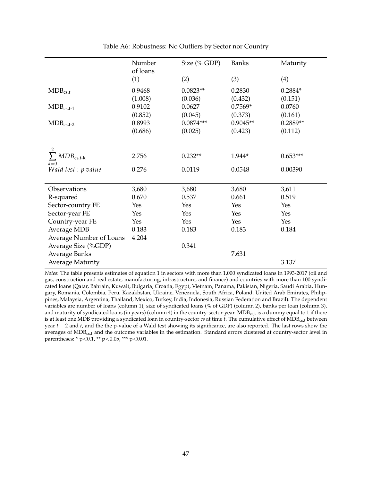<span id="page-47-0"></span>

|                                                       | Number          | Size (% GDP) | <b>Banks</b> | Maturity   |
|-------------------------------------------------------|-----------------|--------------|--------------|------------|
|                                                       | of loans<br>(1) | (2)          | (3)          | (4)        |
| $MDB_{cs,t}$                                          | 0.9468          | $0.0823**$   | 0.2830       | $0.2884*$  |
|                                                       | (1.008)         | (0.036)      | (0.432)      | (0.151)    |
| $MDB_{cs,t-1}$                                        | 0.9102          | 0.0627       | $0.7569*$    | 0.0760     |
|                                                       | (0.852)         | (0.045)      | (0.373)      | (0.161)    |
| $MDB_{cs,t-2}$                                        | 0.8993          | $0.0874***$  | $0.9045**$   | $0.2889**$ |
|                                                       | (0.686)         | (0.025)      | (0.423)      | (0.112)    |
|                                                       |                 |              |              |            |
| $\overline{2}$<br>$\sum_{\text{MDB}_{\text{cs,t-k}}}$ | 2.756           | $0.232**$    | 1.944*       | $0.653***$ |
| $k=0$<br>Wald test : p value                          | 0.276           | 0.0119       | 0.0548       | 0.00390    |
| Observations                                          | 3,680           | 3,680        | 3,680        | 3,611      |
| R-squared                                             | 0.670           | 0.537        | 0.661        | 0.519      |
| Sector-country FE                                     | Yes             | Yes          | Yes          | Yes        |
| Sector-year FE                                        | Yes             | Yes          | Yes          | Yes        |
| Country-year FE                                       | Yes             | Yes          | Yes          | Yes        |
| <b>Average MDB</b>                                    | 0.183           | 0.183        | 0.183        | 0.184      |
| Average Number of Loans                               | 4.204           |              |              |            |
| Average Size (%GDP)                                   |                 | 0.341        |              |            |
| Average Banks                                         |                 |              | 7.631        |            |
| <b>Average Maturity</b>                               |                 |              |              | 3.137      |

Table A6: Robustness: No Outliers by Sector nor Country

*Notes*: The table presents estimates of equation [1](#page-10-0) in sectors with more than 1,000 syndicated loans in 1993-2017 (oil and gas, construction and real estate, manufacturing, infrastructure, and finance) and countries with more than 100 syndicated loans (Qatar, Bahrain, Kuwait, Bulgaria, Croatia, Egypt, Vietnam, Panama, Pakistan, Nigeria, Saudi Arabia, Hungary, Romania, Colombia, Peru, Kazakhstan, Ukraine, Venezuela, South Africa, Poland, United Arab Emirates, Philippines, Malaysia, Argentina, Thailand, Mexico, Turkey, India, Indonesia, Russian Federation and Brazil). The dependent variables are number of loans (column 1), size of syndicated loans (% of GDP) (column 2), banks per loan (column 3), and maturity of syndicated loans (in years) (column 4) in the country-sector-year. MDB<sub>cs,t</sub> is a dummy equal to 1 if there is at least one MDB providing a syndicated loan in country-sector *cs* at time *t*. The cumulative effect of MDB<sub>cs,t</sub> between year *t* − 2 and *t*, and the the p-value of a Wald test showing its significance, are also reported. The last rows show the averages of MDB<sub>cs,t</sub> and the outcome variables in the estimation. Standard errors clustered at country-sector level in parentheses: \*  $p$  < 0.1, \*\*  $p$  < 0.05, \*\*\*  $p$  < 0.01.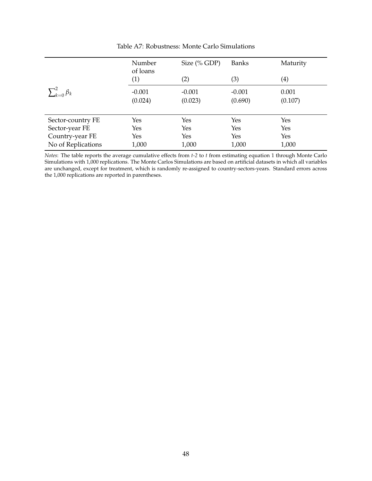<span id="page-48-0"></span>

|                          | Number<br>of loans | Size $(\%$ GDP) | Banks    | Maturity            |
|--------------------------|--------------------|-----------------|----------|---------------------|
|                          | (1)                | (2)             | (3)      | $\scriptstyle{(4)}$ |
| $\sum_{k=0}^{2} \beta_k$ | $-0.001$           | $-0.001$        | $-0.001$ | 0.001               |
|                          | (0.024)            | (0.023)         | (0.690)  | (0.107)             |
|                          |                    |                 |          |                     |
| Sector-country FE        | Yes                | Yes             | Yes      | Yes                 |
| Sector-year FE           | Yes                | Yes             | Yes      | Yes                 |
| Country-year FE          | Yes                | Yes             | Yes      | Yes                 |
| No of Replications       | 1,000              | 1,000           | 1,000    | 1,000               |

Table A7: Robustness: Monte Carlo Simulations

*Notes*: The table reports the average cumulative effects from *t-2* to *t* from estimating equation [1](#page-10-0) through Monte Carlo Simulations with 1,000 replications. The Monte Carlos Simulations are based on artificial datasets in which all variables are unchanged, except for treatment, which is randomly re-assigned to country-sectors-years. Standard errors across the 1,000 replications are reported in parentheses.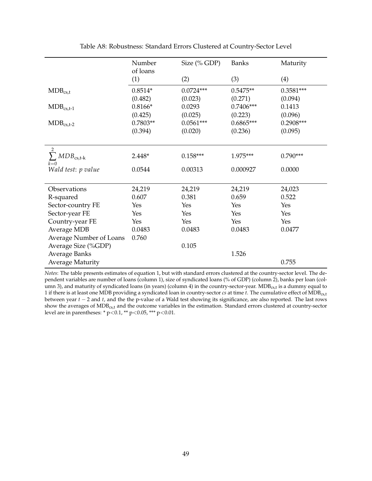<span id="page-49-0"></span>

|                             | Number     | Size (% GDP) | <b>Banks</b> | Maturity    |
|-----------------------------|------------|--------------|--------------|-------------|
|                             | of loans   |              |              |             |
|                             | (1)        | (2)          | (3)          | (4)         |
| $MDB_{cs,t}$                | $0.8514*$  | $0.0724***$  | $0.5475**$   | $0.3581***$ |
|                             | (0.482)    | (0.023)      | (0.271)      | (0.094)     |
| $MDB_{cs,t-1}$              | $0.8166*$  | 0.0293       | $0.7406***$  | 0.1413      |
|                             | (0.425)    | (0.025)      | (0.223)      | (0.096)     |
| $MDB_{cs,t-2}$              | $0.7803**$ | $0.0561***$  | $0.6865***$  | $0.2908***$ |
|                             | (0.394)    | (0.020)      | (0.236)      | (0.095)     |
|                             |            |              |              |             |
| 2                           |            |              |              |             |
| $\sum MDB_{\text{cs,t-k}}$  | $2.448*$   | $0.158***$   | 1.975***     | $0.790***$  |
| $k=0$<br>Wald test: p value | 0.0544     | 0.00313      | 0.000927     | 0.0000      |
|                             |            |              |              |             |
| Observations                | 24,219     | 24,219       | 24,219       | 24,023      |
| R-squared                   | 0.607      | 0.381        | 0.659        | 0.522       |
| Sector-country FE           | Yes        | Yes          | Yes          | Yes         |
| Sector-year FE              | Yes        | Yes          | Yes          | Yes         |
| Country-year FE             | Yes        | Yes          | Yes          | Yes         |
| Average MDB                 | 0.0483     | 0.0483       | 0.0483       | 0.0477      |
| Average Number of Loans     | 0.760      |              |              |             |
| Average Size (%GDP)         |            | 0.105        |              |             |
| <b>Average Banks</b>        |            |              | 1.526        |             |
| <b>Average Maturity</b>     |            |              |              | 0.755       |

Table A8: Robustness: Standard Errors Clustered at Country-Sector Level

*Notes*: The table presents estimates of equation [1,](#page-10-0) but with standard errors clustered at the country-sector level. The dependent variables are number of loans (column 1), size of syndicated loans (% of GDP) (column 2), banks per loan (column 3), and maturity of syndicated loans (in years) (column 4) in the country-sector-year. MDB<sub>cs,t</sub> is a dummy equal to 1 if there is at least one MDB providing a syndicated loan in country-sector *cs* at time *t*. The cumulative effect of MDBcs,t between year *t* − 2 and *t*, and the the p-value of a Wald test showing its significance, are also reported. The last rows show the averages of MDBcs,t and the outcome variables in the estimation. Standard errors clustered at country-sector level are in parentheses: \* p<0.1, \*\* p<0.05, \*\*\* p<0.01.